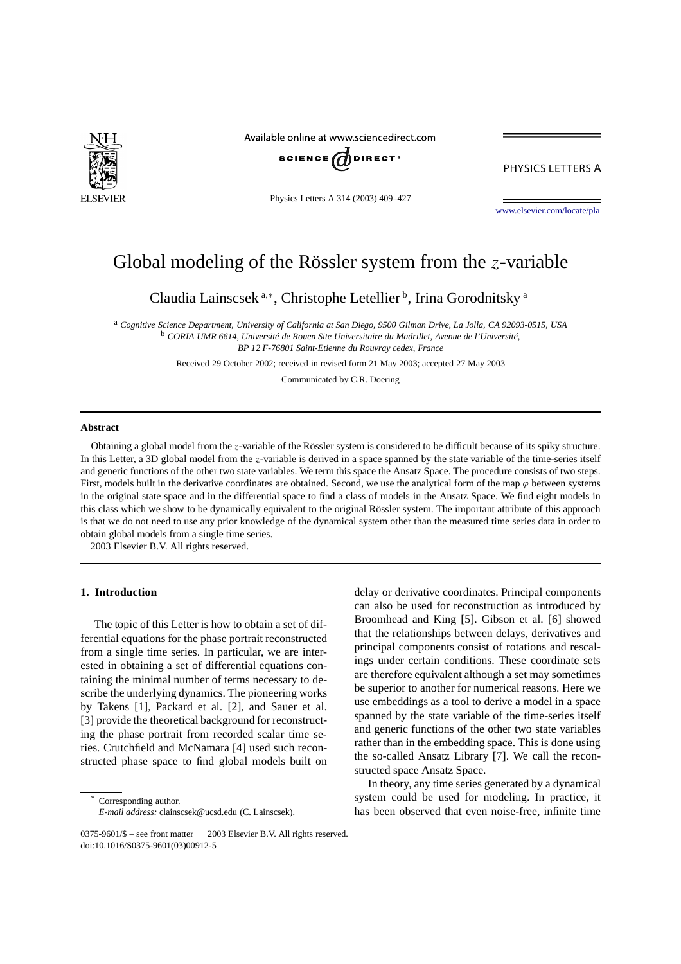

Available online at www.sciencedirect.com



PHYSICS LETTERS A

Physics Letters A 314 (2003) 409–427

[www.elsevier.com/locate/pla](http://www.elsevier.com/locate/pla)

# Global modeling of the Rössler system from the *z*-variable

Claudia Lainscsek<sup>a,∗</sup>, Christophe Letellier<sup>b</sup>, Irina Gorodnitsky<sup>a</sup>

<sup>a</sup> *Cognitive Science Department, University of California at San Diego, 9500 Gilman Drive, La Jolla, CA 92093-0515, USA* <sup>b</sup> *CORIA UMR 6614, Université de Rouen Site Universitaire du Madrillet, Avenue de l'Université, BP 12 F-76801 Saint-Etienne du Rouvray cedex, France*

Received 29 October 2002; received in revised form 21 May 2003; accepted 27 May 2003

Communicated by C.R. Doering

# **Abstract**

Obtaining a global model from the *z*-variable of the Rössler system is considered to be difficult because of its spiky structure. In this Letter, a 3D global model from the *z*-variable is derived in a space spanned by the state variable of the time-series itself and generic functions of the other two state variables. We term this space the Ansatz Space. The procedure consists of two steps. First, models built in the derivative coordinates are obtained. Second, we use the analytical form of the map *ϕ* between systems in the original state space and in the differential space to find a class of models in the Ansatz Space. We find eight models in this class which we show to be dynamically equivalent to the original Rössler system. The important attribute of this approach is that we do not need to use any prior knowledge of the dynamical system other than the measured time series data in order to obtain global models from a single time series.

2003 Elsevier B.V. All rights reserved.

# **1. Introduction**

The topic of this Letter is how to obtain a set of differential equations for the phase portrait reconstructed from a single time series. In particular, we are interested in obtaining a set of differential equations containing the minimal number of terms necessary to describe the underlying dynamics. The pioneering works by Takens [1], Packard et al. [2], and Sauer et al. [3] provide the theoretical background for reconstructing the phase portrait from recorded scalar time series. Crutchfield and McNamara [4] used such reconstructed phase space to find global models built on

Corresponding author. *E-mail address:* clainscsek@ucsd.edu (C. Lainscsek). delay or derivative coordinates. Principal components can also be used for reconstruction as introduced by Broomhead and King [5]. Gibson et al. [6] showed that the relationships between delays, derivatives and principal components consist of rotations and rescalings under certain conditions. These coordinate sets are therefore equivalent although a set may sometimes be superior to another for numerical reasons. Here we use embeddings as a tool to derive a model in a space spanned by the state variable of the time-series itself and generic functions of the other two state variables rather than in the embedding space. This is done using the so-called Ansatz Library [7]. We call the reconstructed space Ansatz Space.

In theory, any time series generated by a dynamical system could be used for modeling. In practice, it has been observed that even noise-free, infinite time

 $0375-9601/\$  – see front matter  $\odot$  2003 Elsevier B.V. All rights reserved. doi:10.1016/S0375-9601(03)00912-5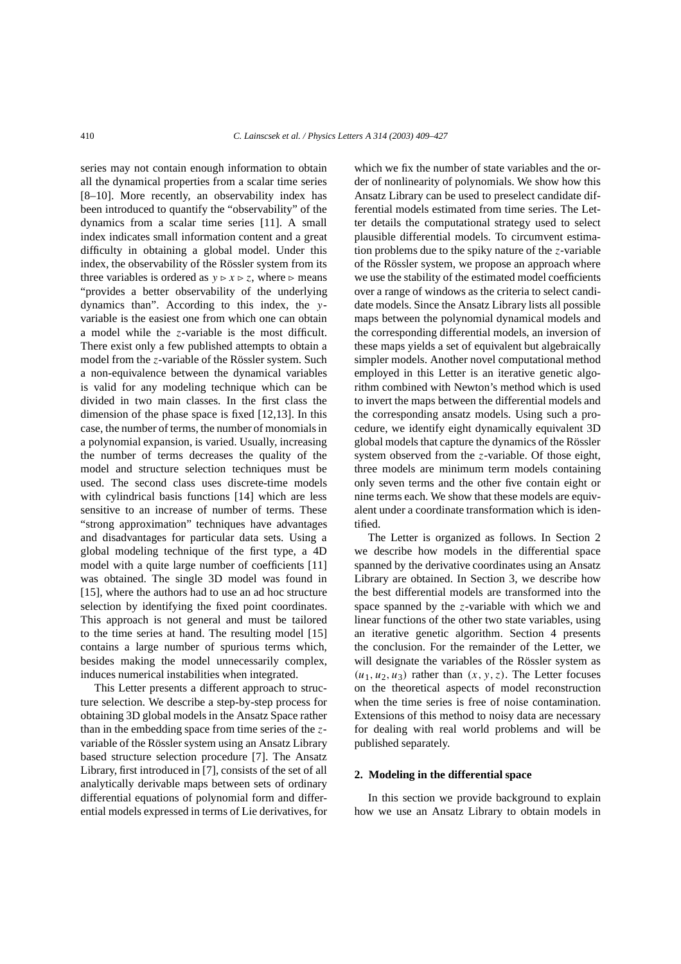series may not contain enough information to obtain all the dynamical properties from a scalar time series [8–10]. More recently, an observability index has been introduced to quantify the "observability" of the dynamics from a scalar time series [11]. A small index indicates small information content and a great difficulty in obtaining a global model. Under this index, the observability of the Rössler system from its three variables is ordered as  $y \triangleright x \triangleright z$ , where  $\triangleright$  means "provides a better observability of the underlying dynamics than". According to this index, the *y*variable is the easiest one from which one can obtain a model while the *z*-variable is the most difficult. There exist only a few published attempts to obtain a model from the *z*-variable of the Rössler system. Such a non-equivalence between the dynamical variables is valid for any modeling technique which can be divided in two main classes. In the first class the dimension of the phase space is fixed [12,13]. In this case, the number of terms, the number of monomials in a polynomial expansion, is varied. Usually, increasing the number of terms decreases the quality of the model and structure selection techniques must be used. The second class uses discrete-time models with cylindrical basis functions [14] which are less sensitive to an increase of number of terms. These "strong approximation" techniques have advantages and disadvantages for particular data sets. Using a global modeling technique of the first type, a 4D model with a quite large number of coefficients [11] was obtained. The single 3D model was found in [15], where the authors had to use an ad hoc structure selection by identifying the fixed point coordinates. This approach is not general and must be tailored to the time series at hand. The resulting model [15] contains a large number of spurious terms which, besides making the model unnecessarily complex, induces numerical instabilities when integrated.

This Letter presents a different approach to structure selection. We describe a step-by-step process for obtaining 3D global models in the Ansatz Space rather than in the embedding space from time series of the *z*variable of the Rössler system using an Ansatz Library based structure selection procedure [7]. The Ansatz Library, first introduced in [7], consists of the set of all analytically derivable maps between sets of ordinary differential equations of polynomial form and differential models expressed in terms of Lie derivatives, for which we fix the number of state variables and the order of nonlinearity of polynomials. We show how this Ansatz Library can be used to preselect candidate differential models estimated from time series. The Letter details the computational strategy used to select plausible differential models. To circumvent estimation problems due to the spiky nature of the *z*-variable of the Rössler system, we propose an approach where we use the stability of the estimated model coefficients over a range of windows as the criteria to select candidate models. Since the Ansatz Library lists all possible maps between the polynomial dynamical models and the corresponding differential models, an inversion of these maps yields a set of equivalent but algebraically simpler models. Another novel computational method employed in this Letter is an iterative genetic algorithm combined with Newton's method which is used to invert the maps between the differential models and the corresponding ansatz models. Using such a procedure, we identify eight dynamically equivalent 3D global models that capture the dynamics of the Rössler system observed from the *z*-variable. Of those eight, three models are minimum term models containing only seven terms and the other five contain eight or nine terms each. We show that these models are equivalent under a coordinate transformation which is identified.

The Letter is organized as follows. In Section 2 we describe how models in the differential space spanned by the derivative coordinates using an Ansatz Library are obtained. In Section 3, we describe how the best differential models are transformed into the space spanned by the *z*-variable with which we and linear functions of the other two state variables, using an iterative genetic algorithm. Section 4 presents the conclusion. For the remainder of the Letter, we will designate the variables of the Rössler system as  $(u_1, u_2, u_3)$  rather than  $(x, y, z)$ . The Letter focuses on the theoretical aspects of model reconstruction when the time series is free of noise contamination. Extensions of this method to noisy data are necessary for dealing with real world problems and will be published separately.

# **2. Modeling in the differential space**

In this section we provide background to explain how we use an Ansatz Library to obtain models in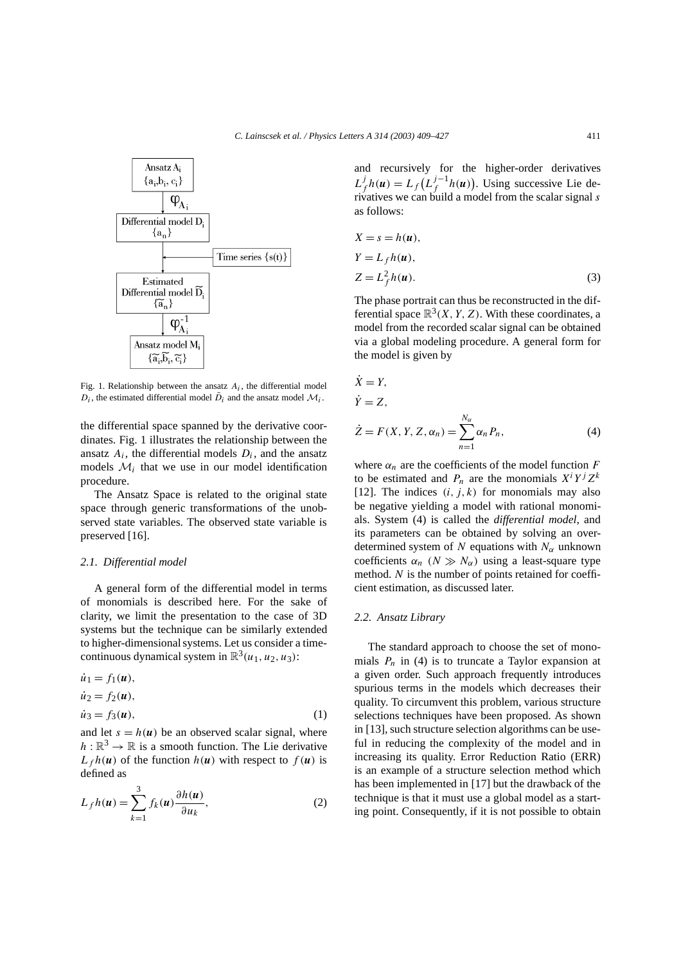

Fig. 1. Relationship between the ansatz *Ai*, the differential model  $D_i$ , the estimated differential model  $\tilde{D}_i$  and the ansatz model  $\mathcal{M}_i$ .

the differential space spanned by the derivative coordinates. Fig. 1 illustrates the relationship between the ansatz  $A_i$ , the differential models  $D_i$ , and the ansatz models  $\mathcal{M}_i$  that we use in our model identification procedure.

The Ansatz Space is related to the original state space through generic transformations of the unobserved state variables. The observed state variable is preserved [16].

# *2.1. Differential model*

A general form of the differential model in terms of monomials is described here. For the sake of clarity, we limit the presentation to the case of 3D systems but the technique can be similarly extended to higher-dimensional systems. Let us consider a timecontinuous dynamical system in  $\mathbb{R}^3(u_1, u_2, u_3)$ :

$$
\dot{u}_1 = f_1(u), \n\dot{u}_2 = f_2(u), \n\dot{u}_3 = f_3(u),
$$
\n(1)

and let  $s = h(u)$  be an observed scalar signal, where  $h: \mathbb{R}^3 \to \mathbb{R}$  is a smooth function. The Lie derivative  $L_f h(\mathbf{u})$  of the function  $h(\mathbf{u})$  with respect to  $f(\mathbf{u})$  is defined as

$$
L_f h(\mathbf{u}) = \sum_{k=1}^{3} f_k(\mathbf{u}) \frac{\partial h(\mathbf{u})}{\partial u_k},
$$
 (2)

and recursively for the higher-order derivatives  $L_f^j h(\mathbf{u}) = L_f(L_f^{j-1} h(\mathbf{u}))$ . Using successive Lie derivatives we can build a model from the scalar signal *s* as follows:

$$
X = s = h(u),
$$
  
\n
$$
Y = L_f h(u),
$$
  
\n
$$
Z = L_f^2 h(u).
$$
\n(3)

The phase portrait can thus be reconstructed in the differential space  $\mathbb{R}^3(X, Y, Z)$ . With these coordinates, a model from the recorded scalar signal can be obtained via a global modeling procedure. A general form for the model is given by

$$
\dot{X} = Y,
$$
\n
$$
\dot{Y} = Z,
$$
\n
$$
\dot{Z} = F(X, Y, Z, \alpha_n) = \sum_{n=1}^{N_{\alpha}} \alpha_n P_n,
$$
\n(4)

where  $\alpha_n$  are the coefficients of the model function  $F$ to be estimated and  $P_n$  are the monomials  $X^i Y^j Z^k$ [12]. The indices  $(i, j, k)$  for monomials may also be negative yielding a model with rational monomials. System (4) is called the *differential model*, and its parameters can be obtained by solving an overdetermined system of *N* equations with  $N_\alpha$  unknown coefficients  $\alpha_n$  ( $N \gg N_\alpha$ ) using a least-square type method. *N* is the number of points retained for coefficient estimation, as discussed later.

### *2.2. Ansatz Library*

The standard approach to choose the set of monomials  $P_n$  in (4) is to truncate a Taylor expansion at a given order. Such approach frequently introduces spurious terms in the models which decreases their quality. To circumvent this problem, various structure selections techniques have been proposed. As shown in [13], such structure selection algorithms can be useful in reducing the complexity of the model and in increasing its quality. Error Reduction Ratio (ERR) is an example of a structure selection method which has been implemented in [17] but the drawback of the technique is that it must use a global model as a starting point. Consequently, if it is not possible to obtain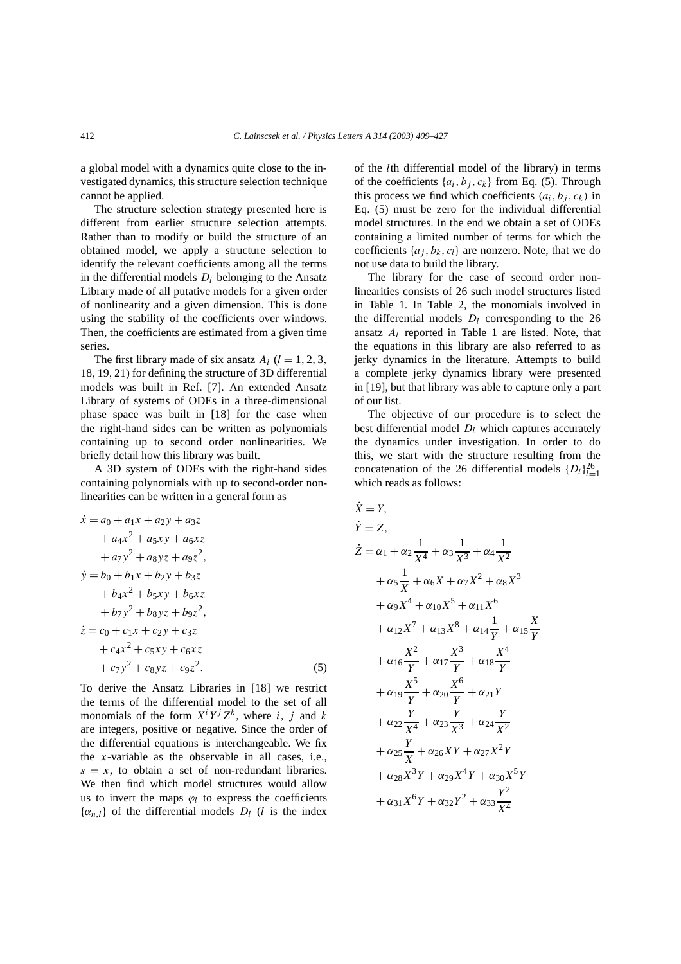a global model with a dynamics quite close to the investigated dynamics, this structure selection technique cannot be applied.

The structure selection strategy presented here is different from earlier structure selection attempts. Rather than to modify or build the structure of an obtained model, we apply a structure selection to identify the relevant coefficients among all the terms in the differential models  $D_i$  belonging to the Ansatz Library made of all putative models for a given order of nonlinearity and a given dimension. This is done using the stability of the coefficients over windows. Then, the coefficients are estimated from a given time series.

The first library made of six ansatz  $A_l$  ( $l = 1, 2, 3$ ) 18*,* 19*,* 21) for defining the structure of 3D differential models was built in Ref. [7]. An extended Ansatz Library of systems of ODEs in a three-dimensional phase space was built in [18] for the case when the right-hand sides can be written as polynomials containing up to second order nonlinearities. We briefly detail how this library was built.

A 3D system of ODEs with the right-hand sides containing polynomials with up to second-order nonlinearities can be written in a general form as

$$
\begin{aligned}\n\dot{x} &= a_0 + a_1 x + a_2 y + a_3 z \\
&+ a_4 x^2 + a_5 x y + a_6 x z \\
&+ a_7 y^2 + a_8 y z + a_9 z^2, \\
\dot{y} &= b_0 + b_1 x + b_2 y + b_3 z \\
&+ b_4 x^2 + b_5 x y + b_6 x z \\
&+ b_7 y^2 + b_8 y z + b_9 z^2, \\
\dot{z} &= c_0 + c_1 x + c_2 y + c_3 z \\
&+ c_4 x^2 + c_5 x y + c_6 x z \\
&+ c_7 y^2 + c_8 y z + c_9 z^2.\n\end{aligned}\n\tag{5}
$$

To derive the Ansatz Libraries in [18] we restrict the terms of the differential model to the set of all monomials of the form  $X^i Y^j Z^k$ , where *i*, *j* and *k* are integers, positive or negative. Since the order of the differential equations is interchangeable. We fix the *x*-variable as the observable in all cases, i.e.,  $s = x$ , to obtain a set of non-redundant libraries. We then find which model structures would allow us to invert the maps  $\varphi_l$  to express the coefficients  $\{\alpha_{n,l}\}\$  of the differential models  $D_l$  (*l* is the index of the *l*th differential model of the library) in terms of the coefficients  $\{a_i, b_i, c_k\}$  from Eq. (5). Through this process we find which coefficients  $(a_i, b_i, c_k)$  in Eq. (5) must be zero for the individual differential model structures. In the end we obtain a set of ODEs containing a limited number of terms for which the coefficients  $\{a_i, b_k, c_l\}$  are nonzero. Note, that we do not use data to build the library.

The library for the case of second order nonlinearities consists of 26 such model structures listed in Table 1. In Table 2, the monomials involved in the differential models  $D_l$  corresponding to the 26 ansatz *Al* reported in Table 1 are listed. Note, that the equations in this library are also referred to as jerky dynamics in the literature. Attempts to build a complete jerky dynamics library were presented in [19], but that library was able to capture only a part of our list.

The objective of our procedure is to select the best differential model *Dl* which captures accurately the dynamics under investigation. In order to do this, we start with the structure resulting from the concatenation of the 26 differential models  $\{D_l\}_{l=1}^{26}$ which reads as follows:

$$
\dot{X} = Y,
$$
\n
$$
\dot{Y} = Z,
$$
\n
$$
\dot{Z} = \alpha_1 + \alpha_2 \frac{1}{X^4} + \alpha_3 \frac{1}{X^3} + \alpha_4 \frac{1}{X^2}
$$
\n
$$
+ \alpha_5 \frac{1}{X} + \alpha_6 X + \alpha_7 X^2 + \alpha_8 X^3
$$
\n
$$
+ \alpha_9 X^4 + \alpha_{10} X^5 + \alpha_{11} X^6
$$
\n
$$
+ \alpha_{12} X^7 + \alpha_{13} X^8 + \alpha_{14} \frac{1}{Y} + \alpha_{15} \frac{X}{Y}
$$
\n
$$
+ \alpha_{16} \frac{X^2}{Y} + \alpha_{17} \frac{X^3}{Y} + \alpha_{18} \frac{X^4}{Y}
$$
\n
$$
+ \alpha_{19} \frac{X^5}{Y} + \alpha_{20} \frac{X^6}{Y} + \alpha_{21} Y
$$
\n
$$
+ \alpha_{22} \frac{Y}{X^4} + \alpha_{23} \frac{Y}{X^3} + \alpha_{24} \frac{Y}{X^2}
$$
\n
$$
+ \alpha_{25} \frac{Y}{X} + \alpha_{26} XY + \alpha_{27} X^2 Y
$$
\n
$$
+ \alpha_{28} X^3 Y + \alpha_{29} X^4 Y + \alpha_{30} X^5 Y
$$
\n
$$
+ \alpha_{31} X^6 Y + \alpha_{32} Y^2 + \alpha_{33} \frac{Y^2}{X^4}
$$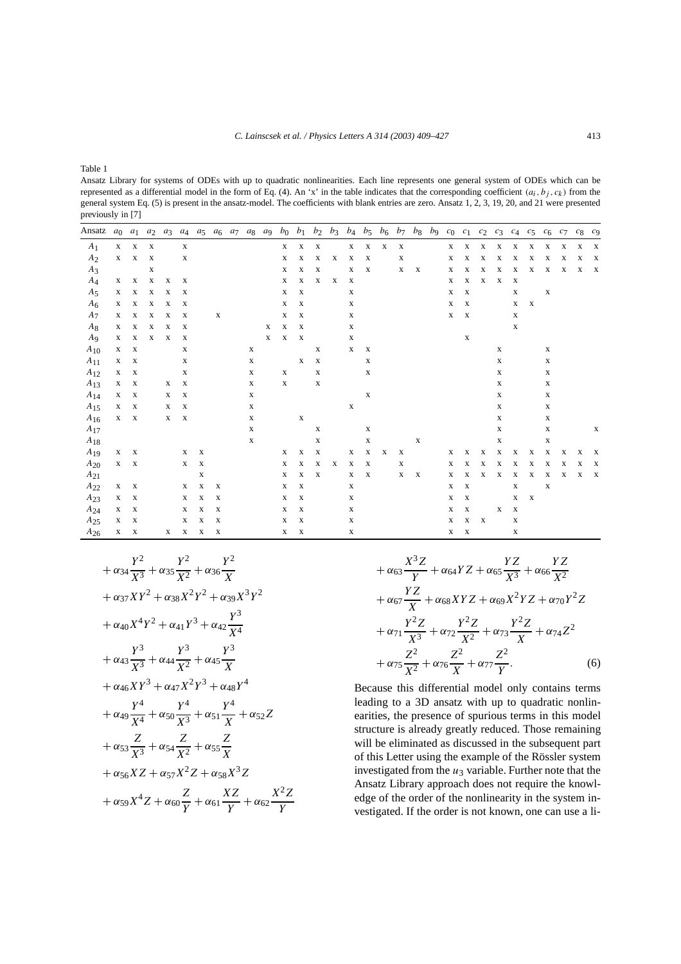Table 1

Ansatz Library for systems of ODEs with up to quadratic nonlinearities. Each line represents one general system of ODEs which can be represented as a differential model in the form of Eq. (4). An 'x' in the table indicates that the corresponding coefficient  $(a_i, b_j, c_k)$  from the general system Eq. (5) is present in the ansatz-model. The coefficients with blank entries are zero. Ansatz 1, 2, 3, 19, 20, and 21 were presented previously in [7]

| Ansatz $a_0$ $a_1$ $a_2$ $a_3$ |              |              |              |              |              |              |              |   |              |              |              |              |              |              |              |              |              | $a_4$ $a_5$ $a_6$ $a_7$ $a_8$ $a_9$ $b_0$ $b_1$ $b_2$ $b_3$ $b_4$ $b_5$ $b_6$ $b_7$ $b_8$ $b_9$ $c_0$ $c_1$ $c_2$ $c_3$ $c_4$ $c_5$ $c_6$ $c_7$ $c_8$ $c_9$ |              |              |              |              |                                                                    |              |              |              |     |   |
|--------------------------------|--------------|--------------|--------------|--------------|--------------|--------------|--------------|---|--------------|--------------|--------------|--------------|--------------|--------------|--------------|--------------|--------------|-------------------------------------------------------------------------------------------------------------------------------------------------------------|--------------|--------------|--------------|--------------|--------------------------------------------------------------------|--------------|--------------|--------------|-----|---|
| $A_1$                          |              | X X          | $\mathbf{x}$ |              | $\mathbf x$  |              |              |   |              |              | X X          | $\mathbf{X}$ |              | $\mathbf{X}$ |              | X X          | $\mathbf{x}$ |                                                                                                                                                             |              |              |              |              | $X \qquad X \qquad X \qquad X \qquad X \qquad X \qquad X \qquad X$ |              |              |              | X X |   |
| A <sub>2</sub>                 |              | X X          | $\mathbf{x}$ |              | X            |              |              |   |              | X            | X            | X            | $\mathbf{x}$ | $\mathbf{X}$ | $\mathbf{x}$ |              | X            |                                                                                                                                                             | $\mathbf{x}$ | $\mathbf{x}$ |              | $X$ $X$      | $\mathbf{x}$                                                       |              | X X          | $\mathbf{x}$ | X X |   |
| $A_3$                          |              |              | X            |              |              |              |              |   |              | $\mathbf x$  | $\mathbf{x}$ | $\mathbf{x}$ |              | X            | $\mathbf{x}$ |              | $\mathbf{X}$ | $\mathbf{X}$                                                                                                                                                | X            | $\mathbf{X}$ | $\mathbf{X}$ | $\mathbf{X}$ | $\mathbf{X}$                                                       | X X          |              | $\mathbf{X}$ | X X |   |
| $A_4$                          | $\mathbf{X}$ | $\mathbf{x}$ | $\mathbf{x}$ | $\mathbf x$  | $\mathbf{X}$ |              |              |   |              | $\mathbf x$  | $\mathbf{x}$ | $\mathbf{x}$ | $\mathbf{x}$ | $\mathbf X$  |              |              |              |                                                                                                                                                             | X            | $\mathbf{x}$ | $\mathbf{x}$ | $\mathbf{x}$ | $\mathbf{x}$                                                       |              |              |              |     |   |
| $A_5$                          | X            | X            | $\mathbf{x}$ | X            | X            |              |              |   |              | $\mathbf x$  | X            |              |              | X            |              |              |              |                                                                                                                                                             | $\mathbf{x}$ | X            |              |              | $\mathbf x$                                                        |              | х            |              |     |   |
| $A_6$                          | X            | X            | X            | X            | X            |              |              |   |              | X            | X            |              |              | X            |              |              |              |                                                                                                                                                             | X            | X            |              |              | $\mathbf{x}$                                                       | $\mathbf{x}$ |              |              |     |   |
| $A_7$                          | X            | X            | X            | X            | X            |              | х            |   |              | X            | X            |              |              | X            |              |              |              |                                                                                                                                                             | X            | X            |              |              | X                                                                  |              |              |              |     |   |
| $A_8$                          | $\mathbf{x}$ | $\mathbf{x}$ | $\mathbf{x}$ | $\mathbf{x}$ | $\mathbf{x}$ |              |              |   | $\mathbf{x}$ | $\mathbf x$  | X            |              |              | X            |              |              |              |                                                                                                                                                             |              |              |              |              | $\mathbf x$                                                        |              |              |              |     |   |
| Aq                             | X            | X            | $\mathbf x$  | $\mathbf{X}$ | X            |              |              |   | $\mathbf{X}$ | $\mathbf X$  | $\mathbf{X}$ |              |              | X            |              |              |              |                                                                                                                                                             |              | $\mathbf x$  |              |              |                                                                    |              |              |              |     |   |
| $A_{10}$                       | $\mathbf x$  | X            |              |              | X            |              |              | X |              |              |              | $\mathbf X$  |              | X            | $\mathbf{x}$ |              |              |                                                                                                                                                             |              |              |              | X            |                                                                    |              | X            |              |     |   |
| $A_{11}$                       | X            | Х            |              |              | X            |              |              | X |              |              | $\mathbf{X}$ | $\mathbf X$  |              |              | X            |              |              |                                                                                                                                                             |              |              |              | X            |                                                                    |              | X            |              |     |   |
| $A_{12}$                       | X            | х            |              |              | X            |              |              | X |              | X            |              | X            |              |              | х            |              |              |                                                                                                                                                             |              |              |              | X            |                                                                    |              | X            |              |     |   |
| $A_{13}$                       | X            | X            |              | X            | X            |              |              | X |              | X            |              | $\mathbf X$  |              |              |              |              |              |                                                                                                                                                             |              |              |              | $\mathbf X$  |                                                                    |              | X            |              |     |   |
| $A_{14}$                       | $\mathbf{x}$ | X            |              | X            | $\mathbf{x}$ |              |              | X |              |              |              |              |              |              | X            |              |              |                                                                                                                                                             |              |              |              | X            |                                                                    |              | X            |              |     |   |
| $A_{15}$                       | X            | $\mathbf{x}$ |              | X            | $\mathbf{x}$ |              |              | X |              |              |              |              |              | $\mathbf x$  |              |              |              |                                                                                                                                                             |              |              |              | X            |                                                                    |              | X            |              |     |   |
| $A_{16}$                       |              | $X$ $X$      |              |              | $X$ $X$      |              |              | X |              |              | $\mathbf{x}$ |              |              |              |              |              |              |                                                                                                                                                             |              |              |              | X            |                                                                    |              | X            |              |     |   |
| $A_{17}$                       |              |              |              |              |              |              |              | X |              |              |              | X            |              |              | X            |              |              |                                                                                                                                                             |              |              |              | X            |                                                                    |              | X            |              |     | X |
| $A_{18}$                       |              |              |              |              |              |              |              | X |              |              |              | X            |              |              | X            |              |              | X                                                                                                                                                           |              |              |              | X            |                                                                    |              | X            |              |     |   |
| $A_{19}$                       | $\mathbf{x}$ | $\mathbf{x}$ |              |              | $\mathbf{X}$ | $\mathbf{x}$ |              |   |              | $\mathbf x$  | $\mathbf{X}$ | $\mathbf{x}$ |              | $\mathbf{x}$ | $\mathbf{x}$ | $\mathbf{X}$ | $\mathbf{X}$ |                                                                                                                                                             | $\mathbf{x}$ |              | $X$ $X$ $X$  |              | $\mathbf{X}$                                                       | $X$ X        |              | $\mathbf{x}$ | X X |   |
| $A_{20}$                       | $\mathbf{x}$ | $\mathbf{X}$ |              |              | X            | $\mathbf x$  |              |   |              | $\mathbf x$  | X            | $\mathbf{x}$ | X            | X            | $\mathbf x$  |              | X            |                                                                                                                                                             | $\mathbf{x}$ | X            | X            | X            | X                                                                  | $\mathbf x$  | $\mathbf x$  | X            | X X |   |
| $A_{21}$                       |              |              |              |              |              | X            |              |   |              | $\mathbf{x}$ | $\mathbf{x}$ | $\mathbf{x}$ |              | X            | X            |              | $\mathbf{X}$ | $\mathbf{X}$                                                                                                                                                | $\mathbf x$  | $\mathbf{x}$ | $\mathbf{x}$ | $\mathbf{X}$ | $\mathbf{x}$                                                       | $\mathbf{x}$ | $\mathbf{x}$ | X            | X X |   |
| $A_{22}$                       | X            | $\mathbf{x}$ |              |              | X            | $\mathbf{x}$ | $\mathbf{x}$ |   |              | $\mathbf x$  | $\mathbf{X}$ |              |              | X            |              |              |              |                                                                                                                                                             | X            | $\mathbf{x}$ |              |              | $\mathbf x$                                                        |              | X            |              |     |   |
| $A_{23}$                       | X            | X            |              |              | X            | $\mathbf x$  | X            |   |              | X            | X            |              |              | X            |              |              |              |                                                                                                                                                             | X            | X            |              |              | X                                                                  | $\mathbf{X}$ |              |              |     |   |
| $A_{24}$                       | $\mathbf{x}$ | X            |              |              | X            | $\mathbf x$  | Х            |   |              | X            | X            |              |              | X            |              |              |              |                                                                                                                                                             | $\mathbf{x}$ | X            |              | $\mathbf x$  | X                                                                  |              |              |              |     |   |
| $A_{25}$                       | X            | х            |              |              | X            | $\mathbf{x}$ | X            |   |              | X            | X            |              |              | X            |              |              |              |                                                                                                                                                             | X            | $\mathbf{x}$ | $\mathbf{X}$ |              | X                                                                  |              |              |              |     |   |
| $A_{26}$                       | X            | X            |              | X            |              | $X$ $X$      | X            |   |              | X            | $\mathbf{X}$ |              |              | X            |              |              |              |                                                                                                                                                             | X            | X            |              |              | X                                                                  |              |              |              |     |   |

$$
+\alpha_{34}\frac{Y^2}{X^3} + \alpha_{35}\frac{Y^2}{X^2} + \alpha_{36}\frac{Y^2}{X}
$$
  
\n
$$
+\alpha_{37}XY^2 + \alpha_{38}X^2Y^2 + \alpha_{39}X^3Y^2
$$
  
\n
$$
+\alpha_{40}X^4Y^2 + \alpha_{41}Y^3 + \alpha_{42}\frac{Y^3}{X^4}
$$
  
\n
$$
+\alpha_{43}\frac{Y^3}{X^3} + \alpha_{44}\frac{Y^3}{X^2} + \alpha_{45}\frac{Y^3}{X}
$$
  
\n
$$
+\alpha_{46}XY^3 + \alpha_{47}X^2Y^3 + \alpha_{48}Y^4
$$
  
\n
$$
+\alpha_{49}\frac{Y^4}{X^4} + \alpha_{50}\frac{Y^4}{X^3} + \alpha_{51}\frac{Y^4}{X} + \alpha_{52}Z
$$
  
\n
$$
+\alpha_{53}\frac{Z}{X^3} + \alpha_{54}\frac{Z}{X^2} + \alpha_{55}\frac{Z}{X}
$$
  
\n
$$
+\alpha_{56}XZ + \alpha_{57}X^2Z + \alpha_{58}X^3Z
$$
  
\n
$$
+\alpha_{59}X^4Z + \alpha_{60}\frac{Z}{Y} + \alpha_{61}\frac{XZ}{Y} + \alpha_{62}\frac{X^2Z}{Y}
$$

$$
+\alpha_{63} \frac{X^3 Z}{Y} + \alpha_{64} YZ + \alpha_{65} \frac{YZ}{X^3} + \alpha_{66} \frac{YZ}{X^2}
$$
  
+ 
$$
\alpha_{67} \frac{YZ}{X} + \alpha_{68} XYZ + \alpha_{69} X^2 YZ + \alpha_{70} Y^2 Z
$$
  
+ 
$$
\alpha_{71} \frac{Y^2 Z}{X^3} + \alpha_{72} \frac{Y^2 Z}{X^2} + \alpha_{73} \frac{Y^2 Z}{X} + \alpha_{74} Z^2
$$
  
+ 
$$
\alpha_{75} \frac{Z^2}{X^2} + \alpha_{76} \frac{Z^2}{X} + \alpha_{77} \frac{Z^2}{Y}.
$$
 (6)

Because this differential model only contains terms leading to a 3D ansatz with up to quadratic nonlinearities, the presence of spurious terms in this model structure is already greatly reduced. Those remaining will be eliminated as discussed in the subsequent part of this Letter using the example of the Rössler system investigated from the  $u_3$  variable. Further note that the Ansatz Library approach does not require the knowledge of the order of the nonlinearity in the system investigated. If the order is not known, one can use a li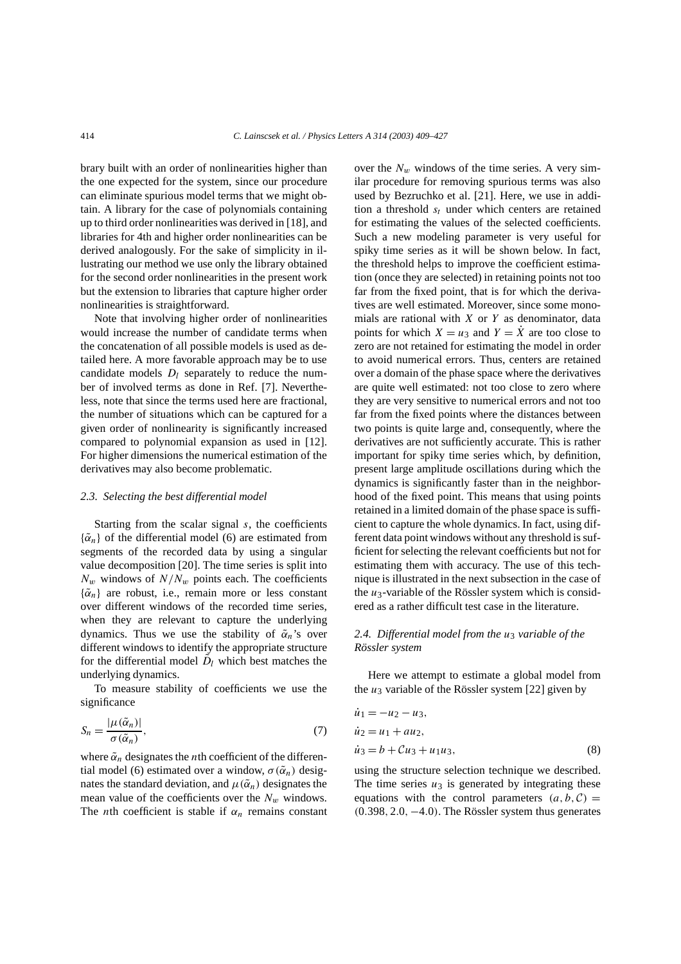brary built with an order of nonlinearities higher than the one expected for the system, since our procedure can eliminate spurious model terms that we might obtain. A library for the case of polynomials containing up to third order nonlinearities was derived in [18], and libraries for 4th and higher order nonlinearities can be derived analogously. For the sake of simplicity in illustrating our method we use only the library obtained for the second order nonlinearities in the present work but the extension to libraries that capture higher order nonlinearities is straightforward.

Note that involving higher order of nonlinearities would increase the number of candidate terms when the concatenation of all possible models is used as detailed here. A more favorable approach may be to use candidate models  $D_l$  separately to reduce the number of involved terms as done in Ref. [7]. Nevertheless, note that since the terms used here are fractional, the number of situations which can be captured for a given order of nonlinearity is significantly increased compared to polynomial expansion as used in [12]. For higher dimensions the numerical estimation of the derivatives may also become problematic.

### *2.3. Selecting the best differential model*

Starting from the scalar signal *s*, the coefficients  $\{\tilde{\alpha}_n\}$  of the differential model (6) are estimated from segments of the recorded data by using a singular value decomposition [20]. The time series is split into  $N_w$  windows of  $N/N_w$  points each. The coefficients  $\{\tilde{\alpha}_n\}$  are robust, i.e., remain more or less constant over different windows of the recorded time series, when they are relevant to capture the underlying dynamics. Thus we use the stability of  $\tilde{\alpha}_n$ 's over different windows to identify the appropriate structure for the differential model  $\tilde{D}_l$  which best matches the underlying dynamics.

To measure stability of coefficients we use the significance

$$
S_n = \frac{|\mu(\tilde{\alpha}_n)|}{\sigma(\tilde{\alpha}_n)},\tag{7}
$$

where  $\tilde{\alpha}_n$  designates the *n*th coefficient of the differential model (6) estimated over a window,  $\sigma(\tilde{\alpha}_n)$  designates the standard deviation, and  $\mu(\tilde{\alpha}_n)$  designates the mean value of the coefficients over the  $N_w$  windows. The *n*th coefficient is stable if  $\alpha_n$  remains constant over the  $N_w$  windows of the time series. A very similar procedure for removing spurious terms was also used by Bezruchko et al. [21]. Here, we use in addition a threshold *st* under which centers are retained for estimating the values of the selected coefficients. Such a new modeling parameter is very useful for spiky time series as it will be shown below. In fact, the threshold helps to improve the coefficient estimation (once they are selected) in retaining points not too far from the fixed point, that is for which the derivatives are well estimated. Moreover, since some monomials are rational with *X* or *Y* as denominator, data points for which  $X = u_3$  and  $Y = \dot{X}$  are too close to zero are not retained for estimating the model in order to avoid numerical errors. Thus, centers are retained over a domain of the phase space where the derivatives are quite well estimated: not too close to zero where they are very sensitive to numerical errors and not too far from the fixed points where the distances between two points is quite large and, consequently, where the derivatives are not sufficiently accurate. This is rather important for spiky time series which, by definition, present large amplitude oscillations during which the dynamics is significantly faster than in the neighborhood of the fixed point. This means that using points retained in a limited domain of the phase space is sufficient to capture the whole dynamics. In fact, using different data point windows without any threshold is sufficient for selecting the relevant coefficients but not for estimating them with accuracy. The use of this technique is illustrated in the next subsection in the case of the *u*3-variable of the Rössler system which is considered as a rather difficult test case in the literature.

# *2.4. Differential model from the u*<sup>3</sup> *variable of the Rössler system*

Here we attempt to estimate a global model from the *u*<sup>3</sup> variable of the Rössler system [22] given by

$$
\dot{u}_1 = -u_2 - u_3,\n\dot{u}_2 = u_1 + au_2,\n\dot{u}_3 = b + Cu_3 + u_1 u_3,
$$
\n(8)

using the structure selection technique we described. The time series  $u_3$  is generated by integrating these equations with the control parameters  $(a, b, C)$  = *(*0*.*398*,* 2*.*0*,*−4*.*0*)*. The Rössler system thus generates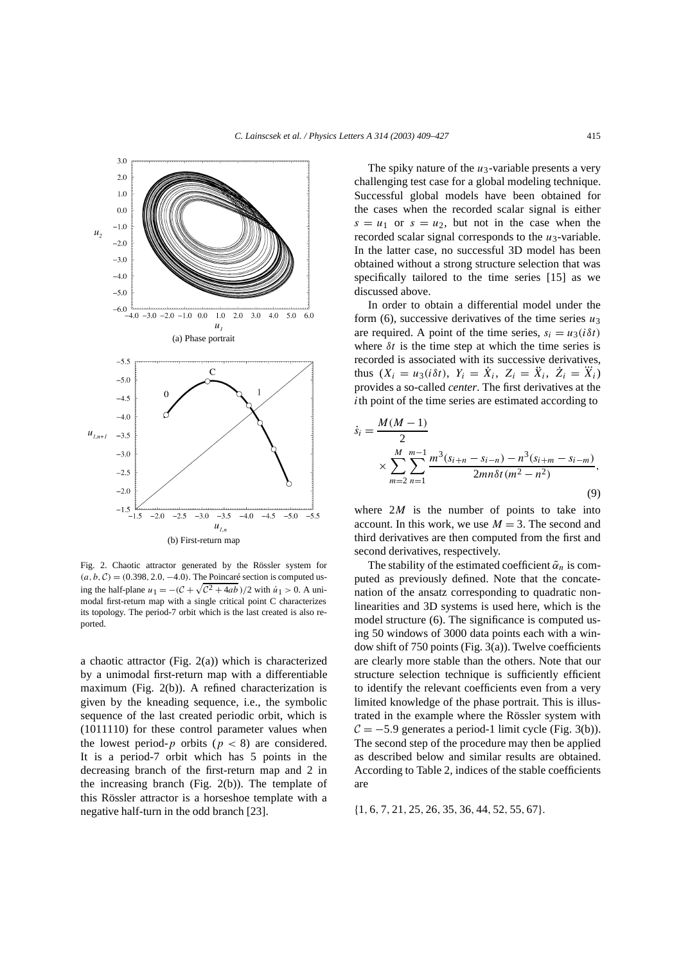

Fig. 2. Chaotic attractor generated by the Rössler system for  $(a, b, C) = (0.398, 2.0, -4.0)$ . The Poincaré section is computed using the half-plane  $u_1 = -(C + \sqrt{C^2 + 4ab})/2$  with  $u_1 > 0$ . A unimodal first-return map with a single critical point C characterizes its topology. The period-7 orbit which is the last created is also reported.

a chaotic attractor (Fig. 2(a)) which is characterized by a unimodal first-return map with a differentiable maximum (Fig. 2(b)). A refined characterization is given by the kneading sequence, i.e., the symbolic sequence of the last created periodic orbit, which is (1011110) for these control parameter values when the lowest period- $p$  orbits ( $p < 8$ ) are considered. It is a period-7 orbit which has 5 points in the decreasing branch of the first-return map and 2 in the increasing branch (Fig. 2(b)). The template of this Rössler attractor is a horseshoe template with a negative half-turn in the odd branch [23].

The spiky nature of the  $u_3$ -variable presents a very challenging test case for a global modeling technique. Successful global models have been obtained for the cases when the recorded scalar signal is either  $s = u_1$  or  $s = u_2$ , but not in the case when the recorded scalar signal corresponds to the *u*3-variable. In the latter case, no successful 3D model has been obtained without a strong structure selection that was specifically tailored to the time series [15] as we discussed above.

In order to obtain a differential model under the form (6), successive derivatives of the time series  $u_3$ are required. A point of the time series,  $s_i = u_3(i\delta t)$ where  $\delta t$  is the time step at which the time series is recorded is associated with its successive derivatives, thus  $(X_i = u_3(i\delta t), Y_i = \dot{X}_i, Z_i = \ddot{X}_i, \dot{Z}_i = \ddot{X}_i)$ provides a so-called *center*. The first derivatives at the *i*th point of the time series are estimated according to

$$
\dot{s}_i = \frac{M(M-1)}{2} \times \sum_{m=2}^{M} \sum_{n=1}^{m-1} \frac{m^3(s_{i+n} - s_{i-n}) - n^3(s_{i+m} - s_{i-m})}{2mn\delta t (m^2 - n^2)},
$$
\n(9)

where 2*M* is the number of points to take into account. In this work, we use  $M = 3$ . The second and third derivatives are then computed from the first and second derivatives, respectively.

The stability of the estimated coefficient  $\tilde{\alpha}_n$  is computed as previously defined. Note that the concatenation of the ansatz corresponding to quadratic nonlinearities and 3D systems is used here, which is the model structure (6). The significance is computed using 50 windows of 3000 data points each with a window shift of 750 points (Fig.  $3(a)$ ). Twelve coefficients are clearly more stable than the others. Note that our structure selection technique is sufficiently efficient to identify the relevant coefficients even from a very limited knowledge of the phase portrait. This is illustrated in the example where the Rössler system with  $C = -5.9$  generates a period-1 limit cycle (Fig. 3(b)). The second step of the procedure may then be applied as described below and similar results are obtained. According to Table 2, indices of the stable coefficients are

{1*,* 6*,* 7*,* 21*,* 25*,* 26*,* 35*,* 36*,* 44*,* 52*,* 55*,* 67}*.*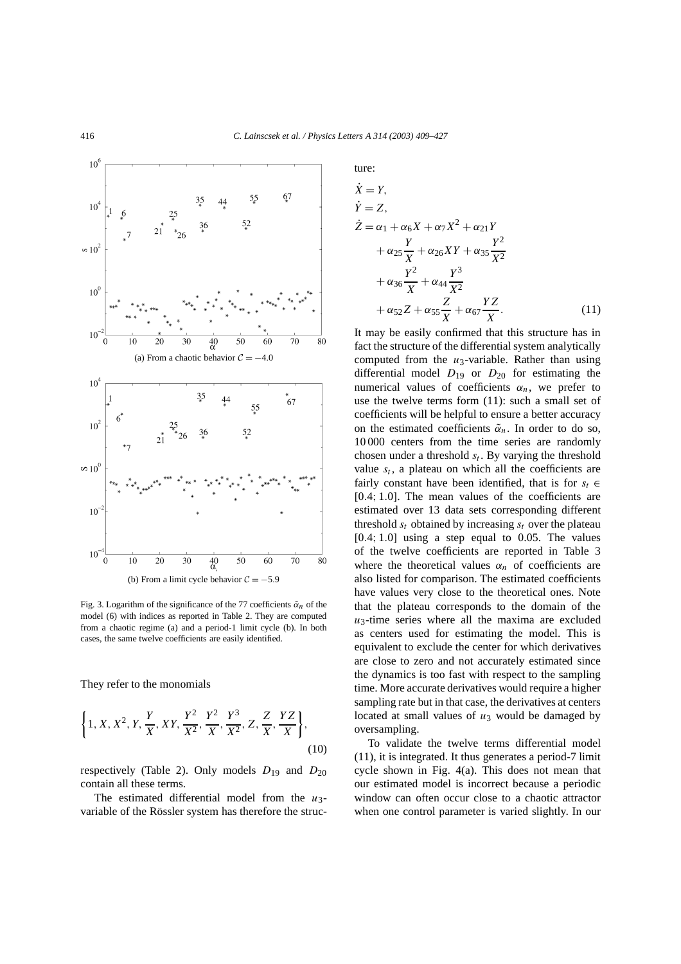

Fig. 3. Logarithm of the significance of the 77 coefficients  $\tilde{\alpha}_n$  of the model (6) with indices as reported in Table 2. They are computed from a chaotic regime (a) and a period-1 limit cycle (b). In both cases, the same twelve coefficients are easily identified.

They refer to the monomials

$$
\left\{1, X, X^2, Y, \frac{Y}{X}, XY, \frac{Y^2}{X^2}, \frac{Y^2}{X}, \frac{Y^3}{X^2}, Z, \frac{Z}{X}, \frac{YZ}{X}\right\},\tag{10}
$$

respectively (Table 2). Only models  $D_{19}$  and  $D_{20}$ contain all these terms.

The estimated differential model from the *u*3 variable of the Rössler system has therefore the structure:

$$
\dot{X} = Y,
$$
\n
$$
\dot{Y} = Z,
$$
\n
$$
\dot{Z} = \alpha_1 + \alpha_6 X + \alpha_7 X^2 + \alpha_{21} Y
$$
\n
$$
+ \alpha_{25} \frac{Y}{X} + \alpha_{26} XY + \alpha_{35} \frac{Y^2}{X^2}
$$
\n
$$
+ \alpha_{36} \frac{Y^2}{X} + \alpha_{44} \frac{Y^3}{X^2}
$$
\n
$$
+ \alpha_{52} Z + \alpha_{55} \frac{Z}{X} + \alpha_{67} \frac{YZ}{X}.
$$
\n(11)

It may be easily confirmed that this structure has in fact the structure of the differential system analytically computed from the *u*3-variable. Rather than using differential model  $D_{19}$  or  $D_{20}$  for estimating the numerical values of coefficients  $\alpha_n$ , we prefer to use the twelve terms form (11): such a small set of coefficients will be helpful to ensure a better accuracy on the estimated coefficients  $\tilde{\alpha}_n$ . In order to do so, 10 000 centers from the time series are randomly chosen under a threshold  $s_t$ . By varying the threshold value  $s_t$ , a plateau on which all the coefficients are fairly constant have been identified, that is for  $s_t \in$ [0*.*4; 1*.*0]. The mean values of the coefficients are estimated over 13 data sets corresponding different threshold  $s_t$  obtained by increasing  $s_t$  over the plateau [0*.*4; 1*.*0] using a step equal to 0.05. The values of the twelve coefficients are reported in Table 3 where the theoretical values  $\alpha_n$  of coefficients are also listed for comparison. The estimated coefficients have values very close to the theoretical ones. Note that the plateau corresponds to the domain of the  $u_3$ -time series where all the maxima are excluded as centers used for estimating the model. This is equivalent to exclude the center for which derivatives are close to zero and not accurately estimated since the dynamics is too fast with respect to the sampling time. More accurate derivatives would require a higher sampling rate but in that case, the derivatives at centers located at small values of  $u_3$  would be damaged by oversampling.

To validate the twelve terms differential model (11), it is integrated. It thus generates a period-7 limit cycle shown in Fig. 4(a). This does not mean that our estimated model is incorrect because a periodic window can often occur close to a chaotic attractor when one control parameter is varied slightly. In our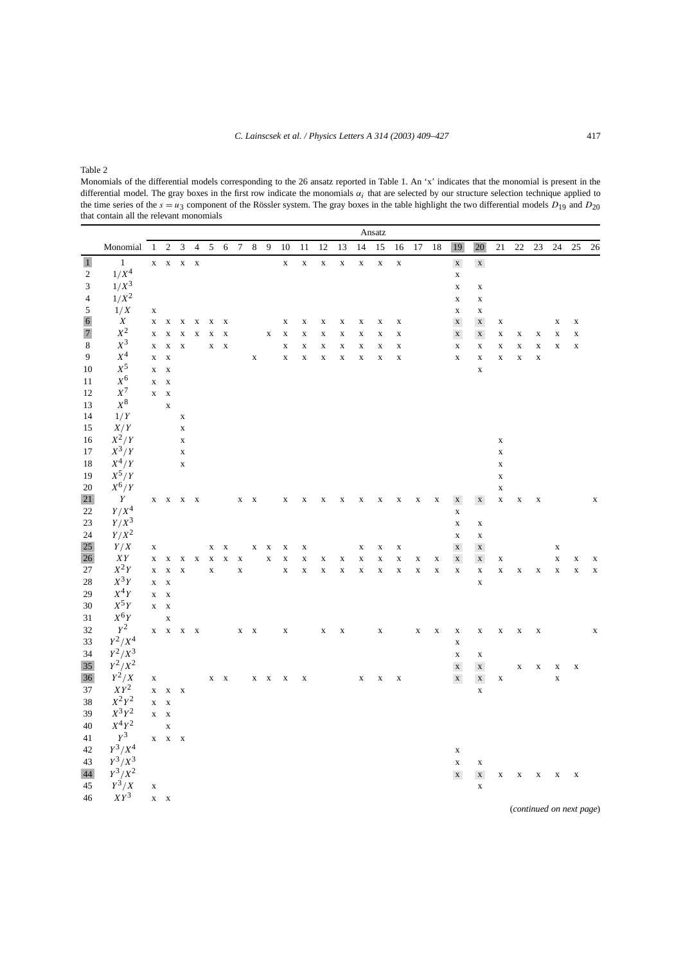Table 2

Monomials of the differential models corresponding to the 26 ansatz reported in Table 1. An 'x' indicates that the monomial is present in the differential model. The gray boxes in the first row indicate the monomials  $\alpha_i$  that are selected by our structure selection technique applied to the time series of the  $s = u_3$  component of the Rössler system. The gray boxes in the table highlight the two differential models  $D_{19}$  and  $D_{20}$ that contain all the relevant monomials

|                |                  |              |                                                                    |             |                         |                |                         |             |                         |                           |             |             |             |             |             | Ansatz      |             |             |             |             |             |             |             |             |             |             |             |
|----------------|------------------|--------------|--------------------------------------------------------------------|-------------|-------------------------|----------------|-------------------------|-------------|-------------------------|---------------------------|-------------|-------------|-------------|-------------|-------------|-------------|-------------|-------------|-------------|-------------|-------------|-------------|-------------|-------------|-------------|-------------|-------------|
|                | Monomial         | $\mathbf{1}$ | 2                                                                  | 3           | $\overline{4}$          | 5 <sup>5</sup> |                         | 6 7 8 9     |                         |                           | 10          | 11          | 12          | 13          | 14          | 15          | 16          | 17          | 18          | 19          | 20          | 21          | 22          | 23          | 24          | 25          | 26          |
| $1\,$          | $\mathbf{1}$     |              | $X$ $X$                                                            |             | $\mathbf{X}=\mathbf{X}$ |                |                         |             |                         |                           | $\mathbf x$ | $\mathbf X$ | $\mathbf X$ | $\mathbf X$ | $\mathbf x$ | $\mathbf X$ | $\mathbf x$ |             |             | $\mathbf X$ | $\mathbf X$ |             |             |             |             |             |             |
| 2              | $1/X^4$          |              |                                                                    |             |                         |                |                         |             |                         |                           |             |             |             |             |             |             |             |             |             | $\mathbf X$ |             |             |             |             |             |             |             |
| 3              | $1/X^3$          |              |                                                                    |             |                         |                |                         |             |                         |                           |             |             |             |             |             |             |             |             |             | $\mathbf X$ | $\mathbf X$ |             |             |             |             |             |             |
| $\overline{4}$ | $1/X^2$          |              |                                                                    |             |                         |                |                         |             |                         |                           |             |             |             |             |             |             |             |             |             | $\mathbf X$ | $\mathbf X$ |             |             |             |             |             |             |
| 5              | 1/X              | $\mathbf X$  |                                                                    |             |                         |                |                         |             |                         |                           |             |             |             |             |             |             |             |             |             | $\mathbf X$ | $\mathbf X$ |             |             |             |             |             |             |
| $\sqrt{6}$     | $\boldsymbol{X}$ | $\mathbf X$  | $\mathbf X$                                                        | $\mathbf X$ | $\mathbf X$             | $\mathbf{x}$   | $\mathbf{X}$            |             |                         |                           | $\mathbf X$ | $\mathbf X$ | $\mathbf X$ | $\mathbf X$ | $\mathbf X$ | $\mathbf X$ | $\mathbf X$ |             |             | $\mathbf X$ | $\mathbf X$ | $\mathbf X$ |             |             | $\mathbf X$ | $\mathbf X$ |             |
| $\sqrt{7}$     | $X^2$            | X            | $\mathbf X$                                                        | $\mathbf X$ | $\mathbf X$             | $\mathbf X$    | $\mathbf X$             |             |                         | $\mathbf X$               | $\mathbf X$ | $\mathbf X$ | $\mathbf X$ | $\mathbf X$ | $\mathbf X$ | $\mathbf X$ | $\mathbf X$ |             |             | $\mathbf X$ | $\mathbf X$ | $\mathbf X$ | X           | $\mathbf X$ | $\mathbf X$ | $\mathbf X$ |             |
| 8              | $X^3$            | $\mathbf X$  | $\mathbf X$                                                        | $\mathbf X$ |                         | $\mathbf X$    | $\mathbf X$             |             |                         |                           | $\mathbf X$ | $\mathbf X$ | $\mathbf X$ | $\mathbf X$ | $\mathbf X$ | $\mathbf X$ | $\mathbf X$ |             |             | $\mathbf X$ | $\mathbf X$ | $\mathbf X$ | X           | $\mathbf X$ | $\mathbf X$ | $\mathbf X$ |             |
| 9              | $\mathfrak{X}^4$ | $\mathbf X$  | $\mathbf X$                                                        |             |                         |                |                         |             | $\mathbf X$             |                           | $\mathbf X$ | $\mathbf X$ | $\mathbf X$ | $\mathbf X$ | $\mathbf X$ | $\mathbf X$ | $\mathbf X$ |             |             | $\mathbf X$ | $\mathbf X$ | $\mathbf X$ | $\mathbf X$ | $\mathbf X$ |             |             |             |
| 10             | $X^5$            | $\mathbf X$  | $\mathbf X$                                                        |             |                         |                |                         |             |                         |                           |             |             |             |             |             |             |             |             |             |             | $\mathbf X$ |             |             |             |             |             |             |
| 11             | $X^6$            | $\mathbf X$  | $\mathbf X$                                                        |             |                         |                |                         |             |                         |                           |             |             |             |             |             |             |             |             |             |             |             |             |             |             |             |             |             |
| 12             | $X^7$            | $\mathbf X$  | $\mathbf{x}$                                                       |             |                         |                |                         |             |                         |                           |             |             |             |             |             |             |             |             |             |             |             |             |             |             |             |             |             |
| 13             | $\mathbb{X}^8$   |              | $\mathbf X$                                                        |             |                         |                |                         |             |                         |                           |             |             |             |             |             |             |             |             |             |             |             |             |             |             |             |             |             |
| 14             | 1/Y              |              |                                                                    | $\mathbf X$ |                         |                |                         |             |                         |                           |             |             |             |             |             |             |             |             |             |             |             |             |             |             |             |             |             |
| 15             | X/Y              |              |                                                                    | $\mathbf X$ |                         |                |                         |             |                         |                           |             |             |             |             |             |             |             |             |             |             |             |             |             |             |             |             |             |
| 16             | $X^2/Y$          |              |                                                                    | $\mathbf X$ |                         |                |                         |             |                         |                           |             |             |             |             |             |             |             |             |             |             |             | $\mathbf X$ |             |             |             |             |             |
| 17             | $X^3/Y$          |              |                                                                    | $\mathbf X$ |                         |                |                         |             |                         |                           |             |             |             |             |             |             |             |             |             |             |             | $\mathbf X$ |             |             |             |             |             |
| 18             | $X^4/Y$          |              |                                                                    | $\mathbf X$ |                         |                |                         |             |                         |                           |             |             |             |             |             |             |             |             |             |             |             | $\mathbf X$ |             |             |             |             |             |
| 19             | $X^5/Y$          |              |                                                                    |             |                         |                |                         |             |                         |                           |             |             |             |             |             |             |             |             |             |             |             | $\mathbf X$ |             |             |             |             |             |
| 20             | $X^6/Y$          |              |                                                                    |             |                         |                |                         |             |                         |                           |             |             |             |             |             |             |             |             |             |             |             | $\mathbf X$ |             |             |             |             |             |
| 21             | Y                |              | $\mathbf{X} \qquad \mathbf{X} \qquad \mathbf{X} \qquad \mathbf{X}$ |             |                         |                |                         |             | $\mathbf{X}=\mathbf{X}$ |                           | $\mathbf X$ | $\mathbf X$ | $\mathbf X$ | $\mathbf X$ | $\mathbf X$ | $\mathbf X$ | $\mathbf X$ | $\mathbf X$ | $\mathbf X$ | $\mathbf X$ | $\mathbf X$ | $\mathbf X$ | $\mathbf X$ | $\mathbf X$ |             |             | X           |
| 22             | $Y/X^4$          |              |                                                                    |             |                         |                |                         |             |                         |                           |             |             |             |             |             |             |             |             |             | $\mathbf X$ |             |             |             |             |             |             |             |
| 23             | $Y/X^3$          |              |                                                                    |             |                         |                |                         |             |                         |                           |             |             |             |             |             |             |             |             |             | $\mathbf X$ | $\mathbf X$ |             |             |             |             |             |             |
| 24             | $Y/X^2$          |              |                                                                    |             |                         |                |                         |             |                         |                           |             |             |             |             |             |             |             |             |             | $\mathbf X$ | $\mathbf X$ |             |             |             |             |             |             |
| $25\,$         | Y/X              | $\mathbf X$  |                                                                    |             |                         | $\mathbf X$    | $\mathbf X$             |             | $\mathbf X$             | $\boldsymbol{\mathrm{X}}$ | $\mathbf X$ | $\mathbf X$ |             |             | $\mathbf X$ | $\mathbf X$ | $\mathbf X$ |             |             | $\mathbf X$ | $\mathbf X$ |             |             |             | $\mathbf X$ |             |             |
| 26             | XΥ               | $\mathbf X$  | $\mathbf X$                                                        | $\mathbf X$ | $\mathbf X$             | $\mathbf X$    | $\mathbf X$             | $\mathbf X$ |                         | $\mathbf X$               | $\mathbf X$ | $\mathbf X$ | $\mathbf X$ | $\mathbf X$ | $\mathbf X$ | $\mathbf X$ | $\mathbf X$ | $\mathbf X$ | $\mathbf X$ | $\mathbf X$ | $\mathbf X$ | $\mathbf X$ |             |             | $\mathbf X$ | $\mathbf X$ | X           |
| 27             | $X^2Y$           | $\mathbf X$  | $\mathbf X$                                                        | $\mathbf X$ |                         | $\mathbf X$    |                         | $\mathbf X$ |                         |                           | $\mathbf X$ | $\mathbf X$ | $\mathbf X$ | $\mathbf X$ | $\mathbf X$ | $\mathbf X$ | $\mathbf X$ | $\mathbf X$ | $\mathbf X$ | $\mathbf X$ | $\mathbf X$ | $\mathbf X$ | $\mathbf X$ | $\mathbf X$ | $\mathbf X$ | $\mathbf X$ | $\mathbf X$ |
| 28             | $X^3Y$           | $\mathbf X$  | $\mathbf X$                                                        |             |                         |                |                         |             |                         |                           |             |             |             |             |             |             |             |             |             |             | $\mathbf X$ |             |             |             |             |             |             |
| 29             | $X^4Y$           | $\mathbf X$  | $\mathbf X$                                                        |             |                         |                |                         |             |                         |                           |             |             |             |             |             |             |             |             |             |             |             |             |             |             |             |             |             |
| 30             | $X^5Y$           |              | $\mathbf X=\mathbf X$                                              |             |                         |                |                         |             |                         |                           |             |             |             |             |             |             |             |             |             |             |             |             |             |             |             |             |             |
| 31             | $X^6Y$           |              | $\mathbf x$                                                        |             |                         |                |                         |             |                         |                           |             |             |             |             |             |             |             |             |             |             |             |             |             |             |             |             |             |
| 32             | $Y^2$            |              | $X$ $X$ $X$ $X$                                                    |             |                         |                |                         |             | $\mathbf{X}=\mathbf{X}$ |                           | $\mathbf X$ |             | $\mathbf X$ | $\mathbf X$ |             | $\mathbf X$ |             | $\mathbf X$ | $\mathbf X$ | $\mathbf X$ | $\mathbf X$ | $\mathbf X$ | $\mathbf X$ | $\mathbf X$ |             |             | X           |
| 33             | $Y^2/X^4$        |              |                                                                    |             |                         |                |                         |             |                         |                           |             |             |             |             |             |             |             |             |             | $\mathbf X$ |             |             |             |             |             |             |             |
| 34             | $Y^2/X^3$        |              |                                                                    |             |                         |                |                         |             |                         |                           |             |             |             |             |             |             |             |             |             | $\mathbf X$ | $\mathbf X$ |             |             |             |             |             |             |
| 35             | $Y^2/X^2$        |              |                                                                    |             |                         |                |                         |             |                         |                           |             |             |             |             |             |             |             |             |             | $\mathbf X$ | $\mathbf X$ |             | $\mathbf X$ | $\mathbf X$ | $\mathbf X$ | $\mathbf X$ |             |
| 36             | $Y^2/X$          | $\mathbf X$  |                                                                    |             |                         |                | $\mathbf{X}=\mathbf{X}$ |             |                         | $\mathbf{X}=\mathbf{X}$   | $\mathbf X$ | $\mathbf X$ |             |             | $\mathbf X$ | $\mathbf X$ | $\mathbf X$ |             |             | $\mathbf X$ | $\mathbf X$ | $\mathbf X$ |             |             | $\mathbf X$ |             |             |
| 37             | $XY^2$           |              | $X$ $X$ $X$                                                        |             |                         |                |                         |             |                         |                           |             |             |             |             |             |             |             |             |             |             | $\mathbf X$ |             |             |             |             |             |             |
| 38             | $X^2Y^2$         | $\mathbf X$  | $\mathbf{x}$                                                       |             |                         |                |                         |             |                         |                           |             |             |             |             |             |             |             |             |             |             |             |             |             |             |             |             |             |
| 39             | $X^3Y^2$         |              | $\mathbf{X}=\mathbf{X}$                                            |             |                         |                |                         |             |                         |                           |             |             |             |             |             |             |             |             |             |             |             |             |             |             |             |             |             |
| 40             | $X^4Y^2$         |              | $\mathbf X$                                                        |             |                         |                |                         |             |                         |                           |             |             |             |             |             |             |             |             |             |             |             |             |             |             |             |             |             |
| 41             | $Y^3$            |              | $X$ $X$ $X$                                                        |             |                         |                |                         |             |                         |                           |             |             |             |             |             |             |             |             |             |             |             |             |             |             |             |             |             |
| 42             | $Y^3/X^4$        |              |                                                                    |             |                         |                |                         |             |                         |                           |             |             |             |             |             |             |             |             |             | $\mathbf X$ |             |             |             |             |             |             |             |
| 43             | $Y^3/X^3$        |              |                                                                    |             |                         |                |                         |             |                         |                           |             |             |             |             |             |             |             |             |             | $\mathbf X$ | $\mathbf X$ |             |             |             |             |             |             |
| 44             | $Y^3/X^2$        |              |                                                                    |             |                         |                |                         |             |                         |                           |             |             |             |             |             |             |             |             |             | $\mathbf X$ | $\mathbf X$ | $\mathbf X$ | $\mathbf X$ | $\mathbf X$ | $\mathbf X$ | $\mathbf X$ |             |
| 45             | $Y^3/X$          | $\mathbf X$  |                                                                    |             |                         |                |                         |             |                         |                           |             |             |             |             |             |             |             |             |             |             | $\mathbf X$ |             |             |             |             |             |             |
| 46             | $XY^3$           | $\mathbf{x}$ | $\mathbf X$                                                        |             |                         |                |                         |             |                         |                           |             |             |             |             |             |             |             |             |             |             |             |             |             |             |             |             |             |
|                |                  |              |                                                                    |             |                         |                |                         |             |                         |                           |             |             |             |             |             |             |             |             |             |             |             |             |             |             |             |             |             |

(*continued on next page*)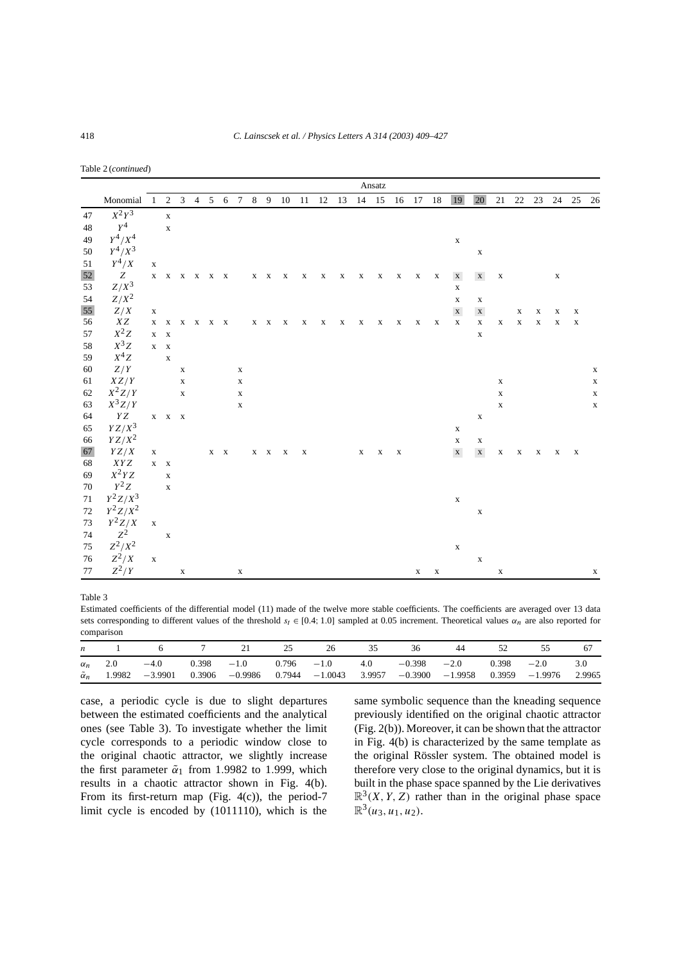Table 2 (*continued*)

|        |                                                       | Ansatz      |                                    |             |                         |  |                         |             |  |             |             |              |              |             |              |             |             |              |              |             |             |             |             |              |              |              |             |
|--------|-------------------------------------------------------|-------------|------------------------------------|-------------|-------------------------|--|-------------------------|-------------|--|-------------|-------------|--------------|--------------|-------------|--------------|-------------|-------------|--------------|--------------|-------------|-------------|-------------|-------------|--------------|--------------|--------------|-------------|
|        | Monomial 1 2 3 4 5 6 7 8 9 10 11 12 13 14 15 16 17 18 |             |                                    |             |                         |  |                         |             |  |             |             |              |              |             |              |             |             |              |              | 19          | 20          | 21          | 22          |              |              | 23 24 25 26  |             |
| 47     | $X^2Y^3$                                              |             | $\mathbf X$                        |             |                         |  |                         |             |  |             |             |              |              |             |              |             |             |              |              |             |             |             |             |              |              |              |             |
| 48     | $Y^4$                                                 |             | $\mathbf X$                        |             |                         |  |                         |             |  |             |             |              |              |             |              |             |             |              |              |             |             |             |             |              |              |              |             |
| 49     | $Y^4/X^4$                                             |             |                                    |             |                         |  |                         |             |  |             |             |              |              |             |              |             |             |              |              | $\mathbf X$ |             |             |             |              |              |              |             |
| 50     | $Y^4/X^3$                                             |             |                                    |             |                         |  |                         |             |  |             |             |              |              |             |              |             |             |              |              |             | $\mathbf X$ |             |             |              |              |              |             |
| 51     | $Y^4/X$                                               | $\mathbf X$ |                                    |             |                         |  |                         |             |  |             |             |              |              |             |              |             |             |              |              |             |             |             |             |              |              |              |             |
| 52     | Z                                                     |             |                                    |             | $X$ $X$ $X$ $X$ $X$ $X$ |  |                         |             |  |             | $X$ $X$ $X$ | $\mathbf{X}$ | $\mathbf{X}$ |             | $X$ $X$ $X$  |             |             | $X$ $X$      | $\mathbf{x}$ | $\mathbf X$ | $\mathbf X$ | $\mathbf X$ |             |              | $\mathbf X$  |              |             |
| 53     | $Z/X^3$                                               |             |                                    |             |                         |  |                         |             |  |             |             |              |              |             |              |             |             |              |              | X           |             |             |             |              |              |              |             |
| 54     | $Z/X^2$                                               |             |                                    |             |                         |  |                         |             |  |             |             |              |              |             |              |             |             |              |              | X           | $\mathbf X$ |             |             |              |              |              |             |
| 55     | Z/X                                                   | $\mathbf X$ |                                    |             |                         |  |                         |             |  |             |             |              |              |             |              |             |             |              |              | $\mathbf X$ | $\mathbf X$ |             | $\mathbf X$ | X            | $\mathbf X$  | X            |             |
| 56     | XZ                                                    |             | $X$ $X$                            |             | $X$ $X$ $X$ $X$         |  |                         |             |  | $X$ $X$ $X$ |             | $\mathbf{X}$ | $\mathbf x$  | $\mathbf x$ | $\mathbf X$  | $\mathbf X$ | $\mathbf X$ | $\mathbf{x}$ | $\mathbf X$  | $\mathbf X$ | $\mathbf X$ | $\mathbf X$ | $\mathbf X$ | $\mathbf X$  | $\mathbf X$  | $\mathbf X$  |             |
| 57     | $X^2Z$                                                |             | $\mathbf{X}=\mathbf{X}$            |             |                         |  |                         |             |  |             |             |              |              |             |              |             |             |              |              |             | $\mathbf X$ |             |             |              |              |              |             |
| 58     | $X^3Z$                                                |             | $\mathbf{X}=\mathbf{X}$            |             |                         |  |                         |             |  |             |             |              |              |             |              |             |             |              |              |             |             |             |             |              |              |              |             |
| 59     | $X^4Z$                                                |             | $\mathbf X$                        |             |                         |  |                         |             |  |             |             |              |              |             |              |             |             |              |              |             |             |             |             |              |              |              |             |
| 60     | Z/Y                                                   |             |                                    | $\mathbf X$ |                         |  |                         | $\mathbf X$ |  |             |             |              |              |             |              |             |             |              |              |             |             |             |             |              |              |              | $\mathbf X$ |
| 61     | XZ/Y                                                  |             |                                    | $\mathbf X$ |                         |  |                         | $\mathbf X$ |  |             |             |              |              |             |              |             |             |              |              |             |             | $\mathbf X$ |             |              |              |              | $\mathbf X$ |
| 62     | $X^2Z/Y$                                              |             |                                    | $\mathbf X$ |                         |  |                         | $\mathbf X$ |  |             |             |              |              |             |              |             |             |              |              |             |             | $\mathbf X$ |             |              |              |              | $\mathbf X$ |
| 63     | $X^3Z/Y$                                              |             |                                    |             |                         |  |                         | X           |  |             |             |              |              |             |              |             |             |              |              |             |             | $\mathbf X$ |             |              |              |              | $\mathbf X$ |
| 64     | ΥZ                                                    |             | $\mathbf{X}=\mathbf{X}-\mathbf{X}$ |             |                         |  |                         |             |  |             |             |              |              |             |              |             |             |              |              |             | $\mathbf X$ |             |             |              |              |              |             |
| 65     | $YZ/X^3$                                              |             |                                    |             |                         |  |                         |             |  |             |             |              |              |             |              |             |             |              |              | $\mathbf X$ |             |             |             |              |              |              |             |
| 66     | $YZ/X^2$                                              |             |                                    |             |                         |  |                         |             |  |             |             |              |              |             |              |             |             |              |              | $\mathbf X$ | $\mathbf X$ |             |             |              |              |              |             |
| 67     | YZ/X                                                  | $\mathbf X$ |                                    |             |                         |  | $\mathbf{X}=\mathbf{X}$ |             |  | $X$ $X$ $X$ |             | $\mathbf{x}$ |              |             | $\mathbf{X}$ | $\mathbf X$ | $\mathbf X$ |              |              | $\mathbf X$ | $\mathbf X$ | $\mathbf X$ | $\mathbf X$ | $\mathbf{x}$ | $\mathbf{x}$ | $\mathbf{X}$ |             |
| 68     | <b>XYZ</b>                                            |             | $\mathbf{X}=\mathbf{X}$            |             |                         |  |                         |             |  |             |             |              |              |             |              |             |             |              |              |             |             |             |             |              |              |              |             |
| 69     | $X^2YZ$                                               |             | $\mathbf X$                        |             |                         |  |                         |             |  |             |             |              |              |             |              |             |             |              |              |             |             |             |             |              |              |              |             |
| 70     | $Y^2Z$                                                |             | $\mathbf X$                        |             |                         |  |                         |             |  |             |             |              |              |             |              |             |             |              |              |             |             |             |             |              |              |              |             |
| $71\,$ | $Y^2Z/X^3$                                            |             |                                    |             |                         |  |                         |             |  |             |             |              |              |             |              |             |             |              |              | $\mathbf X$ |             |             |             |              |              |              |             |
| $72\,$ | $Y^2Z/X^2$                                            |             |                                    |             |                         |  |                         |             |  |             |             |              |              |             |              |             |             |              |              |             | $\mathbf X$ |             |             |              |              |              |             |
| 73     | $Y^2Z/X$                                              | $\mathbf X$ |                                    |             |                         |  |                         |             |  |             |             |              |              |             |              |             |             |              |              |             |             |             |             |              |              |              |             |
| 74     | $Z^2$                                                 |             | $\mathbf X$                        |             |                         |  |                         |             |  |             |             |              |              |             |              |             |             |              |              |             |             |             |             |              |              |              |             |
| 75     | $Z^2/X^2$                                             |             |                                    |             |                         |  |                         |             |  |             |             |              |              |             |              |             |             |              |              | $\mathbf X$ |             |             |             |              |              |              |             |
| 76     | $Z^2/X$                                               | $\mathbf X$ |                                    |             |                         |  |                         |             |  |             |             |              |              |             |              |             |             |              |              |             | $\mathbf X$ |             |             |              |              |              |             |
| 77     | $Z^2/Y$                                               |             |                                    | $\mathbf X$ |                         |  |                         | X           |  |             |             |              |              |             |              |             |             | X            | $\mathbf X$  |             |             | $\mathbf X$ |             |              |              |              | $\mathbf X$ |

#### Table 3

Estimated coefficients of the differential model (11) made of the twelve more stable coefficients. The coefficients are averaged over 13 data sets corresponding to different values of the threshold  $s_t \in [0.4; 1.0]$  sampled at 0.05 increment. Theoretical values  $\alpha_n$  are also reported for comparison

|  | $n \quad 1 \quad 6$ | 7 21 25                                                                                                                                                                                  | 26 | 35 | - 36 |  | 44 52 55 | 67 |
|--|---------------------|------------------------------------------------------------------------------------------------------------------------------------------------------------------------------------------|----|----|------|--|----------|----|
|  |                     | $\alpha_n$ 2.0 -4.0 0.398 -1.0 0.796 -1.0 4.0 -0.398 -2.0 0.398 -2.0 3.0<br>$\tilde{\alpha}_n$ 1.9982 -3.9901 0.3906 -0.9986 0.7944 -1.0043 3.9957 -0.3900 -1.9958 0.3959 -1.9976 2.9965 |    |    |      |  |          |    |

case, a periodic cycle is due to slight departures between the estimated coefficients and the analytical ones (see Table 3). To investigate whether the limit cycle corresponds to a periodic window close to the original chaotic attractor, we slightly increase the first parameter  $\tilde{\alpha}_1$  from 1.9982 to 1.999, which results in a chaotic attractor shown in Fig. 4(b). From its first-return map (Fig. 4(c)), the period-7 limit cycle is encoded by (1011110), which is the same symbolic sequence than the kneading sequence previously identified on the original chaotic attractor (Fig. 2(b)). Moreover, it can be shown that the attractor in Fig. 4(b) is characterized by the same template as the original Rössler system. The obtained model is therefore very close to the original dynamics, but it is built in the phase space spanned by the Lie derivatives  $\mathbb{R}^{3}(X, Y, Z)$  rather than in the original phase space  $\mathbb{R}^{3}(u_{3}, u_{1}, u_{2}).$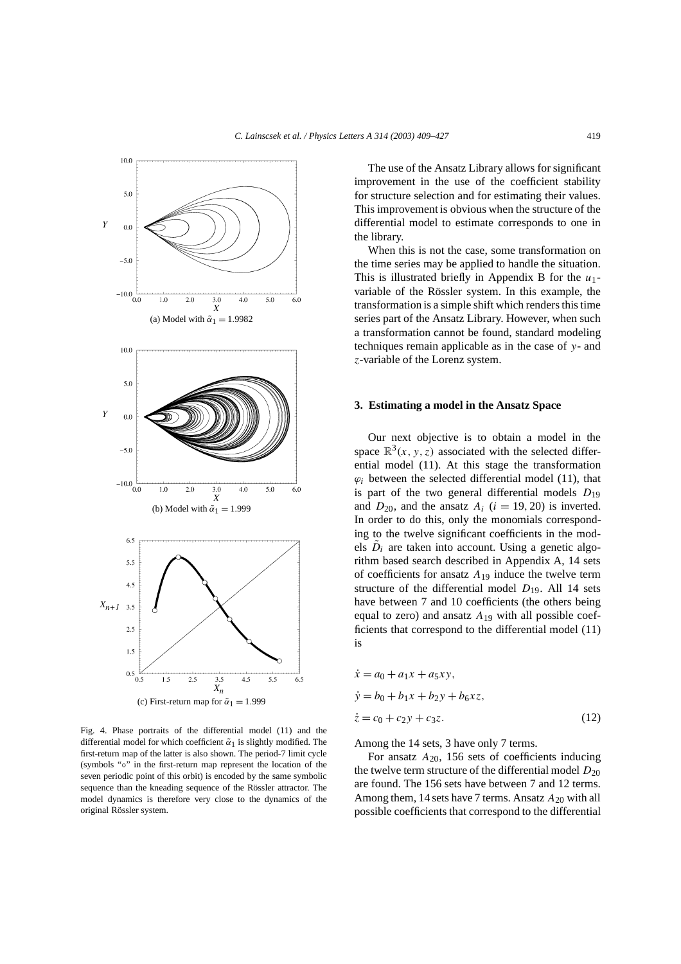

Fig. 4. Phase portraits of the differential model (11) and the differential model for which coefficient  $\tilde{\alpha}_1$  is slightly modified. The first-return map of the latter is also shown. The period-7 limit cycle (symbols "◦" in the first-return map represent the location of the seven periodic point of this orbit) is encoded by the same symbolic sequence than the kneading sequence of the Rössler attractor. The model dynamics is therefore very close to the dynamics of the original Rössler system.

The use of the Ansatz Library allows for significant improvement in the use of the coefficient stability for structure selection and for estimating their values. This improvement is obvious when the structure of the differential model to estimate corresponds to one in the library.

When this is not the case, some transformation on the time series may be applied to handle the situation. This is illustrated briefly in Appendix B for the *u*1 variable of the Rössler system. In this example, the transformation is a simple shift which renders this time series part of the Ansatz Library. However, when such a transformation cannot be found, standard modeling techniques remain applicable as in the case of *y*- and *z*-variable of the Lorenz system.

### **3. Estimating a model in the Ansatz Space**

Our next objective is to obtain a model in the space  $\mathbb{R}^{3}(x, y, z)$  associated with the selected differential model (11). At this stage the transformation  $\varphi$ *i* between the selected differential model (11), that is part of the two general differential models  $D_{19}$ and  $D_{20}$ , and the ansatz  $A_i$  ( $i = 19, 20$ ) is inverted. In order to do this, only the monomials corresponding to the twelve significant coefficients in the models  $\tilde{D}_i$  are taken into account. Using a genetic algorithm based search described in Appendix A, 14 sets of coefficients for ansatz *A*<sup>19</sup> induce the twelve term structure of the differential model  $D_{19}$ . All 14 sets have between 7 and 10 coefficients (the others being equal to zero) and ansatz  $A_{19}$  with all possible coefficients that correspond to the differential model (11) is

$$
\begin{aligned}\n\dot{x} &= a_0 + a_1 x + a_5 x y, \\
\dot{y} &= b_0 + b_1 x + b_2 y + b_6 x z, \\
\dot{z} &= c_0 + c_2 y + c_3 z.\n\end{aligned} \tag{12}
$$

Among the 14 sets, 3 have only 7 terms.

For ansatz  $A_{20}$ , 156 sets of coefficients inducing the twelve term structure of the differential model  $D_{20}$ are found. The 156 sets have between 7 and 12 terms. Among them, 14 sets have 7 terms. Ansatz  $A_{20}$  with all possible coefficients that correspond to the differential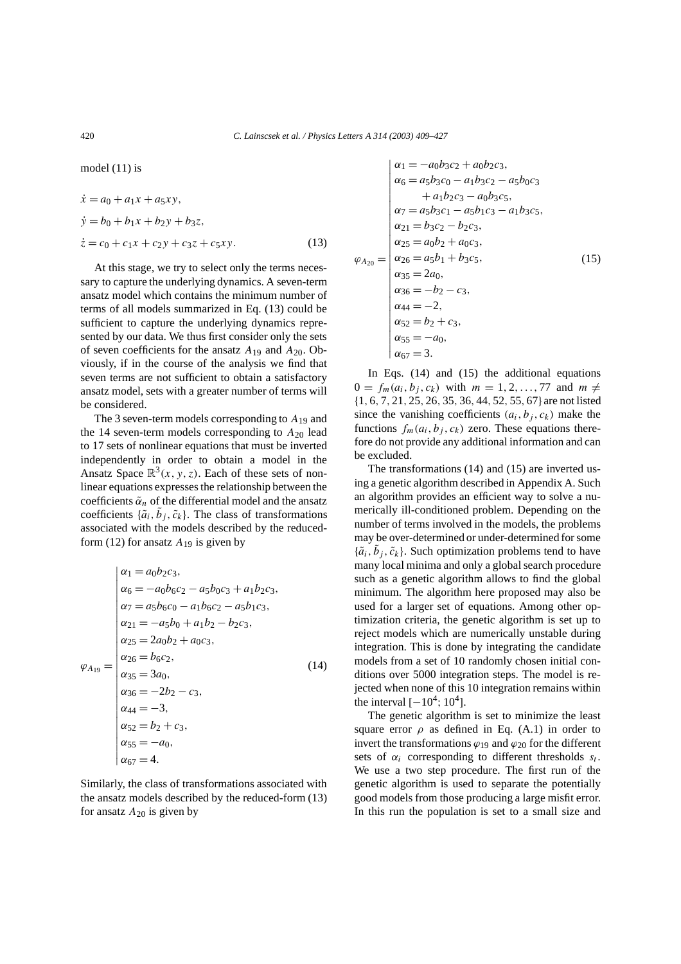model (11) is

$$
\begin{aligned}\n\dot{x} &= a_0 + a_1 x + a_5 x y, \\
\dot{y} &= b_0 + b_1 x + b_2 y + b_3 z, \\
\dot{z} &= c_0 + c_1 x + c_2 y + c_3 z + c_5 x y.\n\end{aligned} \tag{13}
$$

At this stage, we try to select only the terms necessary to capture the underlying dynamics. A seven-term ansatz model which contains the minimum number of terms of all models summarized in Eq. (13) could be sufficient to capture the underlying dynamics represented by our data. We thus first consider only the sets of seven coefficients for the ansatz *A*<sup>19</sup> and *A*20. Obviously, if in the course of the analysis we find that seven terms are not sufficient to obtain a satisfactory ansatz model, sets with a greater number of terms will be considered.

The 3 seven-term models corresponding to *A*<sup>19</sup> and the 14 seven-term models corresponding to  $A_{20}$  lead to 17 sets of nonlinear equations that must be inverted independently in order to obtain a model in the Ansatz Space  $\mathbb{R}^3(x, y, z)$ . Each of these sets of nonlinear equations expresses the relationship between the coefficients  $\tilde{\alpha}_n$  of the differential model and the ansatz coefficients  $\{\tilde{a}_i, \tilde{b}_i, \tilde{c}_k\}$ . The class of transformations associated with the models described by the reducedform (12) for ansatz  $A_{19}$  is given by

$$
\varphi_{A_{19}} = a_0b_2c_3,
$$
\n
$$
\alpha_6 = -a_0b_6c_2 - a_5b_0c_3 + a_1b_2c_3,
$$
\n
$$
\alpha_7 = a_5b_6c_0 - a_1b_6c_2 - a_5b_1c_3,
$$
\n
$$
\alpha_{21} = -a_5b_0 + a_1b_2 - b_2c_3,
$$
\n
$$
\alpha_{25} = 2a_0b_2 + a_0c_3,
$$
\n
$$
\alpha_{26} = b_6c_2,
$$
\n
$$
\alpha_{35} = 3a_0,
$$
\n
$$
\alpha_{36} = -2b_2 - c_3,
$$
\n
$$
\alpha_{44} = -3,
$$
\n
$$
\alpha_{52} = b_2 + c_3,
$$
\n
$$
\alpha_{55} = -a_0,
$$
\n
$$
\alpha_{67} = 4.
$$

Similarly, the class of transformations associated with the ansatz models described by the reduced-form (13) for ansatz  $A_{20}$  is given by

$$
\alpha_1 = -a_0b_3c_2 + a_0b_2c_3,
$$
\n
$$
\alpha_6 = a_5b_3c_0 - a_1b_3c_2 - a_5b_0c_3
$$
\n
$$
+ a_1b_2c_3 - a_0b_3c_5,
$$
\n
$$
\alpha_7 = a_5b_3c_1 - a_5b_1c_3 - a_1b_3c_5,
$$
\n
$$
\alpha_{21} = b_3c_2 - b_2c_3,
$$
\n
$$
\alpha_{25} = a_0b_2 + a_0c_3,
$$
\n
$$
\alpha_{26} = a_5b_1 + b_3c_5,
$$
\n
$$
\alpha_{36} = -b_2 - c_3,
$$
\n
$$
\alpha_{44} = -2,
$$
\n
$$
\alpha_{52} = b_2 + c_3,
$$
\n
$$
\alpha_{55} = -a_0,
$$
\n
$$
\alpha_{67} = 3.
$$

In Eqs. (14) and (15) the additional equations  $0 = f_m(a_i, b_i, c_k)$  with  $m = 1, 2, ..., 77$  and  $m \neq$ {1*,* 6*,* 7*,* 21*,* 25*,* 26*,* 35*,* 36*,* 44*,* 52*,* 55*,* 67} are not listed since the vanishing coefficients  $(a_i, b_j, c_k)$  make the functions  $f_m(a_i, b_i, c_k)$  zero. These equations therefore do not provide any additional information and can be excluded.

The transformations (14) and (15) are inverted using a genetic algorithm described in Appendix A. Such an algorithm provides an efficient way to solve a numerically ill-conditioned problem. Depending on the number of terms involved in the models, the problems may be over-determined or under-determined for some  $\{\tilde{a}_i, \tilde{b}_i, \tilde{c}_k\}$ . Such optimization problems tend to have many local minima and only a global search procedure such as a genetic algorithm allows to find the global minimum. The algorithm here proposed may also be used for a larger set of equations. Among other optimization criteria, the genetic algorithm is set up to reject models which are numerically unstable during integration. This is done by integrating the candidate models from a set of 10 randomly chosen initial conditions over 5000 integration steps. The model is rejected when none of this 10 integration remains within the interval  $[-10^4; 10^4]$ .

The genetic algorithm is set to minimize the least square error  $\rho$  as defined in Eq. (A.1) in order to invert the transformations  $\varphi_{19}$  and  $\varphi_{20}$  for the different sets of  $\alpha_i$  corresponding to different thresholds  $s_t$ . We use a two step procedure. The first run of the genetic algorithm is used to separate the potentially good models from those producing a large misfit error. In this run the population is set to a small size and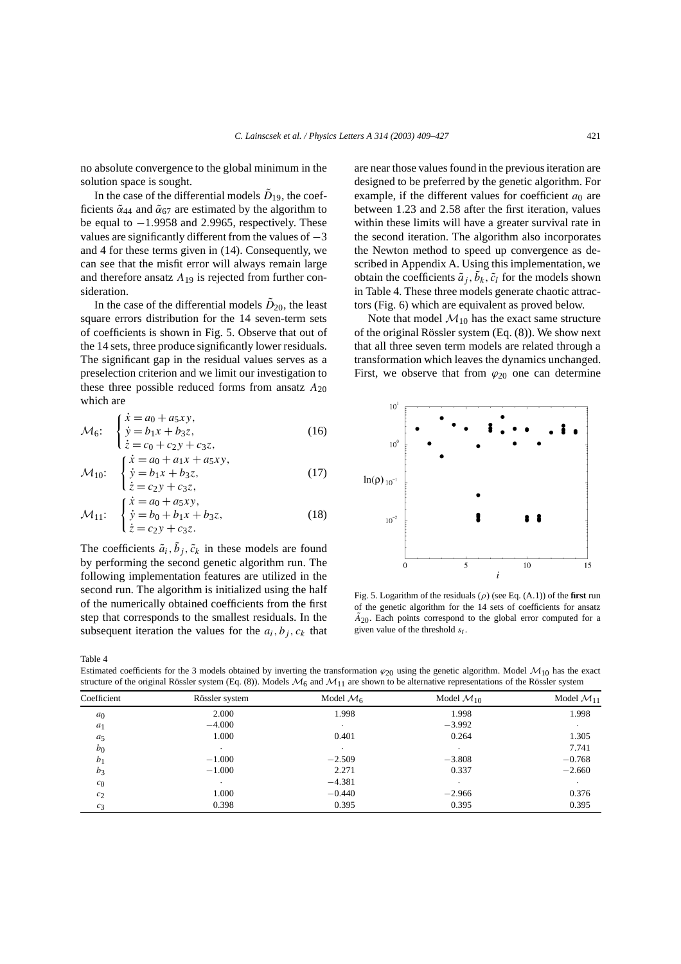no absolute convergence to the global minimum in the solution space is sought.

In the case of the differential models  $\tilde{D}_{19}$ , the coefficients  $\tilde{\alpha}_{44}$  and  $\tilde{\alpha}_{67}$  are estimated by the algorithm to be equal to −1*.*9958 and 2*.*9965, respectively. These values are significantly different from the values of  $-3$ and 4 for these terms given in (14). Consequently, we can see that the misfit error will always remain large and therefore ansatz *A*<sup>19</sup> is rejected from further consideration.

In the case of the differential models  $\bar{D}_{20}$ , the least square errors distribution for the 14 seven-term sets of coefficients is shown in Fig. 5. Observe that out of the 14 sets, three produce significantly lower residuals. The significant gap in the residual values serves as a preselection criterion and we limit our investigation to these three possible reduced forms from ansatz  $A_{20}$ which are

$$
\mathcal{M}_6: \begin{cases} \dot{x} = a_0 + a_5 xy, \\ \dot{y} = b_1 x + b_3 z, \\ \dot{z} = c_0 + c_2 y + c_3 z, \end{cases}
$$
(16)

$$
\mathcal{M}_{10}: \begin{cases} \dot{x} = a_0 + a_1 x + a_5 x y, \\ \dot{y} = b_1 x + b_3 z, \end{cases}
$$
(17)

$$
\begin{cases}\n\dot{z} = c_2 y + c_3 z, \\
\dot{z} = c_2 y + c_3 z,\n\end{cases}
$$
\n
$$
M_{11}: \begin{cases}\n\dot{x} = a_0 + a_5 x y, \\
\dot{y} = b_0 + b_1 x + b_3 z,\n\end{cases}
$$
\n(18)

 $\dot{z} = c_2 y + c_3 z.$ 

The coefficients  $\tilde{a}_i$ ,  $\tilde{b}_j$ ,  $\tilde{c}_k$  in these models are found by performing the second genetic algorithm run. The following implementation features are utilized in the second run. The algorithm is initialized using the half of the numerically obtained coefficients from the first step that corresponds to the smallest residuals. In the subsequent iteration the values for the  $a_i, b_j, c_k$  that are near those values found in the previous iteration are designed to be preferred by the genetic algorithm. For example, if the different values for coefficient  $a_0$  are between 1*.*23 and 2*.*58 after the first iteration, values within these limits will have a greater survival rate in the second iteration. The algorithm also incorporates the Newton method to speed up convergence as described in Appendix A. Using this implementation, we obtain the coefficients  $\tilde{a}_i$ ,  $\tilde{b}_k$ ,  $\tilde{c}_l$  for the models shown in Table 4. These three models generate chaotic attractors (Fig. 6) which are equivalent as proved below.

Note that model  $\mathcal{M}_{10}$  has the exact same structure of the original Rössler system (Eq. (8)). We show next that all three seven term models are related through a transformation which leaves the dynamics unchanged. First, we observe that from *ϕ*<sup>20</sup> one can determine



Fig. 5. Logarithm of the residuals (*ρ*) (see Eq. (A.1)) of the **first** run of the genetic algorithm for the 14 sets of coefficients for ansatz  $\tilde{A}_{20}$ . Each points correspond to the global error computed for a given value of the threshold *st* .

Table 4

Estimated coefficients for the 3 models obtained by inverting the transformation  $\varphi_{20}$  using the genetic algorithm. Model  $\mathcal{M}_{10}$  has the exact structure of the original Rössler system (Eq. (8)). Models  $\mathcal{M}_6$  and  $\mathcal{M}_{11}$  are shown to be alternative representations of the Rössler system

| Coefficient    | Rössler system | Model $\mathcal{M}_6$    | Model $\mathcal{M}_{10}$ | Model $\mathcal{M}_{11}$ |
|----------------|----------------|--------------------------|--------------------------|--------------------------|
| $a_0$          | 2.000          | 1.998                    | 1.998                    | 1.998                    |
| $a_1$          | $-4.000$       | $\cdot$                  | $-3.992$                 | ٠                        |
| $a_5$          | 1.000          | 0.401                    | 0.264                    | 1.305                    |
| b <sub>0</sub> | $\cdot$        | $\overline{\phantom{a}}$ | $\bullet$                | 7.741                    |
| b <sub>1</sub> | $-1.000$       | $-2.509$                 | $-3.808$                 | $-0.768$                 |
| $b_3$          | $-1.000$       | 2.271                    | 0.337                    | $-2.660$                 |
| $c_0$          | $\bullet$      | $-4.381$                 |                          | $\bullet$                |
| c <sub>2</sub> | 1.000          | $-0.440$                 | $-2.966$                 | 0.376                    |
| $c_3$          | 0.398          | 0.395                    | 0.395                    | 0.395                    |
|                |                |                          |                          |                          |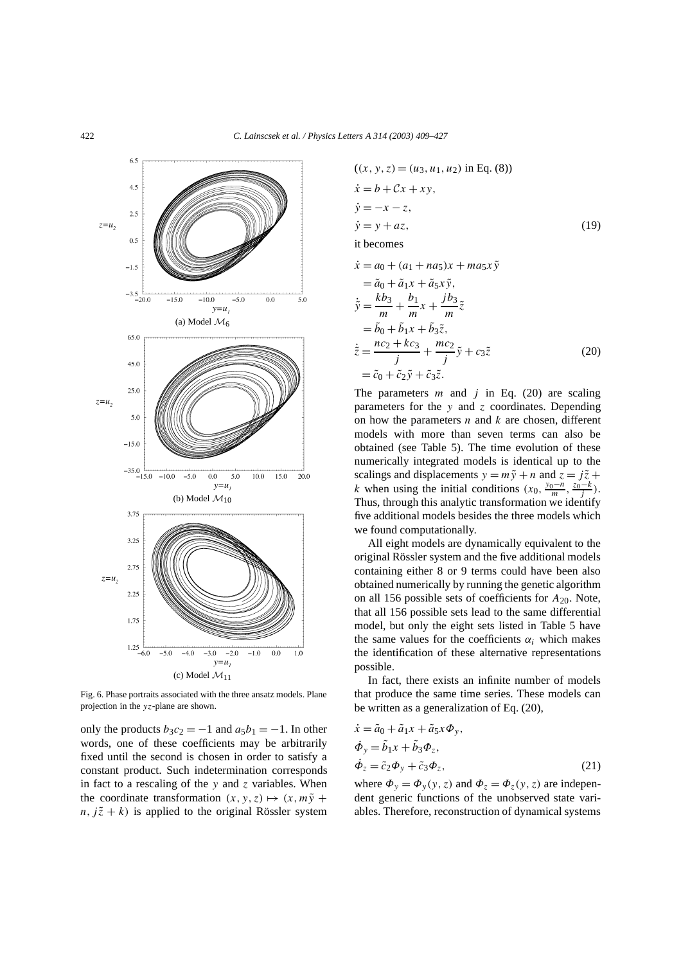

Fig. 6. Phase portraits associated with the three ansatz models. Plane projection in the *yz*-plane are shown.

only the products  $b_3c_2 = -1$  and  $a_5b_1 = -1$ . In other words, one of these coefficients may be arbitrarily fixed until the second is chosen in order to satisfy a constant product. Such indetermination corresponds in fact to a rescaling of the *y* and *z* variables. When the coordinate transformation  $(x, y, z) \mapsto (x, m\tilde{y} +$  $n, j\overline{z} + k$  is applied to the original Rössler system

$$
((x, y, z) = (u_3, u_1, u_2) \text{ in Eq. (8)})
$$
  
\n
$$
\dot{x} = b + Cx + xy,
$$
  
\n
$$
\dot{y} = -x - z,
$$
  
\n
$$
\dot{y} = y + az,
$$
  
\n
$$
\dot{x} = a_0 + (a_1 + na_5)x + ma_5x\tilde{y}
$$
  
\n
$$
= \tilde{a}_0 + \tilde{a}_1x + \tilde{a}_5x\tilde{y},
$$
  
\n
$$
\dot{y} = \frac{kb_3}{m} + \frac{b_1}{m}x + \frac{jb_3}{m}\tilde{z}
$$
  
\n
$$
= \tilde{b}_0 + \tilde{b}_1x + \tilde{b}_3\tilde{z},
$$
  
\n
$$
\dot{z} = \frac{nc_2 + kc_3}{j} + \frac{mc_2}{j}\tilde{y} + c_3\tilde{z}
$$
  
\n
$$
= \tilde{c}_0 + \tilde{c}_2\tilde{y} + \tilde{c}_3\tilde{z}.
$$
  
\n(20)

The parameters  $m$  and  $j$  in Eq. (20) are scaling parameters for the *y* and *z* coordinates. Depending on how the parameters *n* and *k* are chosen, different models with more than seven terms can also be obtained (see Table 5). The time evolution of these numerically integrated models is identical up to the scalings and displacements  $y = m\tilde{y} + n$  and  $z = j\tilde{z} +$ *k* when using the initial conditions  $(x_0, \frac{y_0 - n}{m}, \frac{z_0 - k}{j})$ *<sup>j</sup> )*. Thus, through this analytic transformation we identify five additional models besides the three models which we found computationally.

All eight models are dynamically equivalent to the original Rössler system and the five additional models containing either 8 or 9 terms could have been also obtained numerically by running the genetic algorithm on all 156 possible sets of coefficients for *A*20. Note, that all 156 possible sets lead to the same differential model, but only the eight sets listed in Table 5 have the same values for the coefficients  $\alpha_i$  which makes the identification of these alternative representations possible.

In fact, there exists an infinite number of models that produce the same time series. These models can be written as a generalization of Eq. (20),

$$
\begin{aligned}\n\dot{x} &= \tilde{a}_0 + \tilde{a}_1 x + \tilde{a}_5 x \Phi_y, \\
\dot{\Phi}_y &= \tilde{b}_1 x + \tilde{b}_3 \Phi_z, \\
\dot{\Phi}_z &= \tilde{c}_2 \Phi_y + \tilde{c}_3 \Phi_z,\n\end{aligned}
$$
\n(21)

where  $\Phi_y = \Phi_y(y, z)$  and  $\Phi_z = \Phi_z(y, z)$  are independent generic functions of the unobserved state variables. Therefore, reconstruction of dynamical systems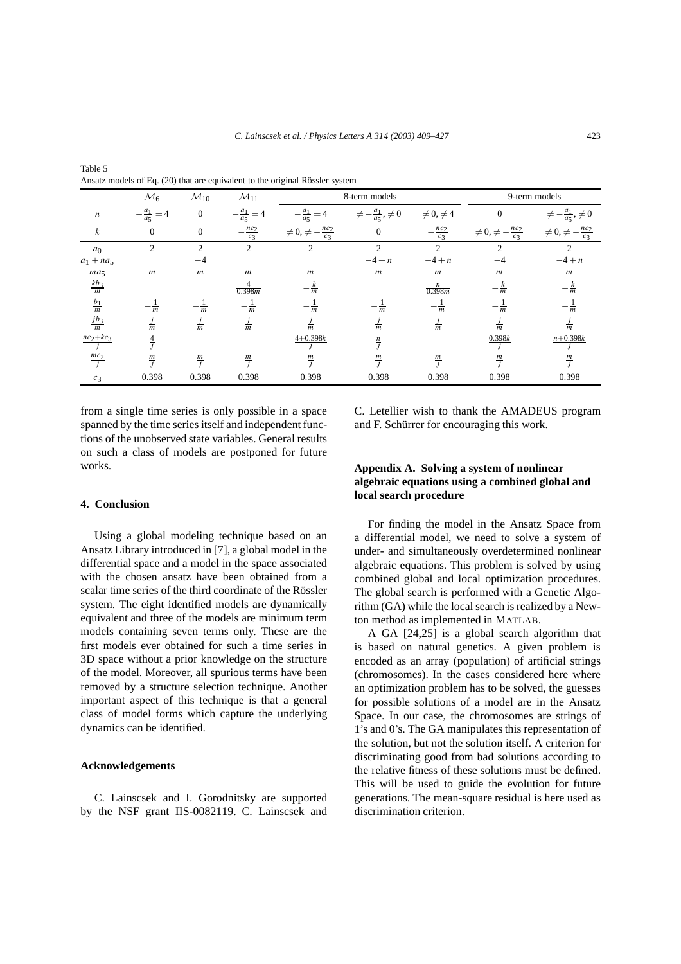|                  | $\mathcal{M}_6$        | $\mathcal{M}_{10}$ | $M_{11}$               |                                  | 8-term models                   |                            |                                  | 9-term models                                                       |
|------------------|------------------------|--------------------|------------------------|----------------------------------|---------------------------------|----------------------------|----------------------------------|---------------------------------------------------------------------|
| $\boldsymbol{n}$ | $-\frac{a_1}{a_5} = 4$ | $\theta$           | $-\frac{a_1}{a_5} = 4$ | $-\frac{a_1}{a_5}$<br>$=4$       | $\neq -\frac{a_1}{a_5}, \neq 0$ | $\neq 0, \neq 4$           | $\Omega$                         |                                                                     |
| $\boldsymbol{k}$ | $\boldsymbol{0}$       | $\mathbf{0}$       | $-\frac{nc_2}{c_3}$    | $\neq 0, \neq -\frac{nc_2}{c_3}$ | $\overline{0}$                  | $-\frac{nc_2}{c_3}$        | $\neq 0, \neq -\frac{nc_2}{c_3}$ | $\neq -\frac{a_1}{a_5}, \neq 0$<br>$\neq 0, \neq -\frac{nc_2}{c_3}$ |
| a <sub>0</sub>   | $\overline{c}$         | $\mathfrak{D}$     | $\overline{c}$         |                                  |                                 | $\mathfrak{D}$             |                                  |                                                                     |
| $a_1 + na_5$     |                        | -4                 |                        |                                  | $-4+n$                          | $-4+n$                     | -4                               | $-4+n$                                                              |
| ma <sub>5</sub>  | $\boldsymbol{m}$       | $\boldsymbol{m}$   | $\boldsymbol{m}$       | $\boldsymbol{m}$                 | $\boldsymbol{m}$                | $\boldsymbol{m}$           | $\boldsymbol{m}$                 | $\boldsymbol{m}$                                                    |
| $rac{kb_3}{m}$   |                        |                    | 0.398m                 | $\boldsymbol{m}$                 |                                 | $\boldsymbol{n}$<br>0.398m | $\mathfrak{m}$                   | $-\frac{k}{m}$                                                      |
| $rac{b_1}{m}$    | $\boldsymbol{m}$       | $\boldsymbol{m}$   | $-\frac{1}{m}$         | $\boldsymbol{m}$                 | $\boldsymbol{m}$                | $\frac{1}{m}$              | $\overline{m}$                   | $\boldsymbol{m}$                                                    |
| $\frac{jb_3}{m}$ | $\frac{1}{m}$          | $\frac{1}{m}$      | $\overline{m}$         | m                                | $\frac{m}{m}$                   | $\frac{1}{m}$              | $\overline{m}$                   | $\overline{m}$                                                      |
| $nc_2+kc_3$      |                        |                    |                        | $4 + 0.398k$                     | <u>n</u>                        |                            | 0.398k                           | $n+0.398k$                                                          |
| $\frac{mc_2}{i}$ | $\frac{m}{i}$          | $\frac{m}{2}$      | $\frac{m}{i}$          | ņ                                | $\frac{m}{i}$                   | $\frac{m}{i}$              | $\frac{m}{i}$                    | $\frac{m}{i}$                                                       |
| $c_3$            | 0.398                  | 0.398              | 0.398                  | 0.398                            | 0.398                           | 0.398                      | 0.398                            | 0.398                                                               |

Table 5 Ansatz models of Eq. (20) that are equivalent to the original Rössler system

from a single time series is only possible in a space spanned by the time series itself and independent functions of the unobserved state variables. General results on such a class of models are postponed for future works.

# **4. Conclusion**

Using a global modeling technique based on an Ansatz Library introduced in [7], a global model in the differential space and a model in the space associated with the chosen ansatz have been obtained from a scalar time series of the third coordinate of the Rössler system. The eight identified models are dynamically equivalent and three of the models are minimum term models containing seven terms only. These are the first models ever obtained for such a time series in 3D space without a prior knowledge on the structure of the model. Moreover, all spurious terms have been removed by a structure selection technique. Another important aspect of this technique is that a general class of model forms which capture the underlying dynamics can be identified.

## **Acknowledgements**

C. Lainscsek and I. Gorodnitsky are supported by the NSF grant IIS-0082119. C. Lainscsek and C. Letellier wish to thank the AMADEUS program and F. Schürrer for encouraging this work.

# **Appendix A. Solving a system of nonlinear algebraic equations using a combined global and local search procedure**

For finding the model in the Ansatz Space from a differential model, we need to solve a system of under- and simultaneously overdetermined nonlinear algebraic equations. This problem is solved by using combined global and local optimization procedures. The global search is performed with a Genetic Algorithm (GA) while the local search is realized by a Newton method as implemented in MATLAB.

A GA [24,25] is a global search algorithm that is based on natural genetics. A given problem is encoded as an array (population) of artificial strings (chromosomes). In the cases considered here where an optimization problem has to be solved, the guesses for possible solutions of a model are in the Ansatz Space. In our case, the chromosomes are strings of 1's and 0's. The GA manipulates this representation of the solution, but not the solution itself. A criterion for discriminating good from bad solutions according to the relative fitness of these solutions must be defined. This will be used to guide the evolution for future generations. The mean-square residual is here used as discrimination criterion.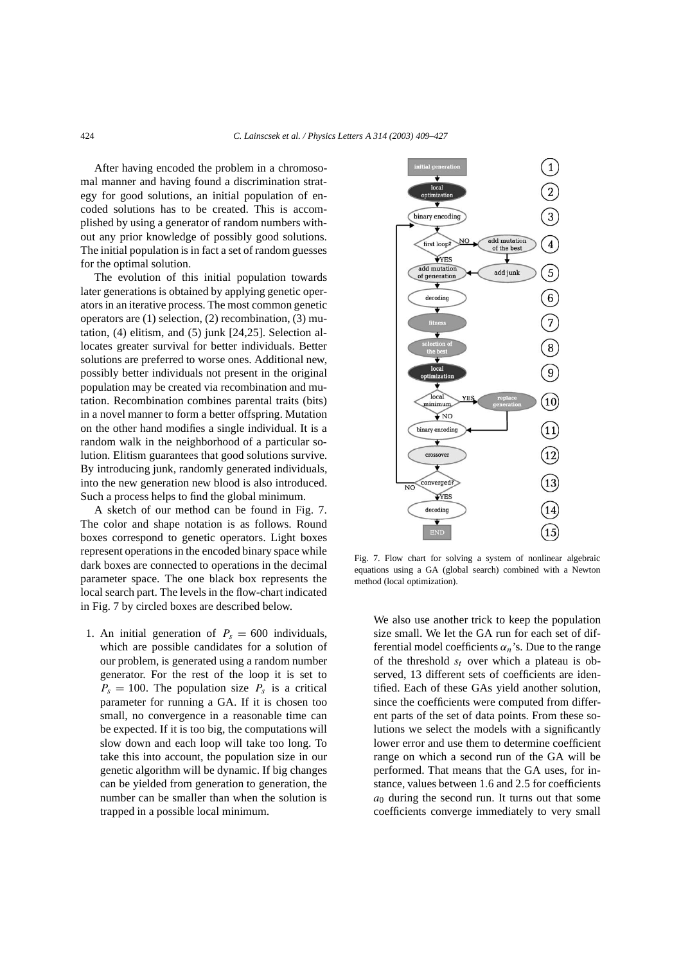After having encoded the problem in a chromosomal manner and having found a discrimination strategy for good solutions, an initial population of encoded solutions has to be created. This is accomplished by using a generator of random numbers without any prior knowledge of possibly good solutions. The initial population is in fact a set of random guesses for the optimal solution.

The evolution of this initial population towards later generations is obtained by applying genetic operators in an iterative process. The most common genetic operators are (1) selection, (2) recombination, (3) mutation, (4) elitism, and (5) junk [24,25]. Selection allocates greater survival for better individuals. Better solutions are preferred to worse ones. Additional new, possibly better individuals not present in the original population may be created via recombination and mutation. Recombination combines parental traits (bits) in a novel manner to form a better offspring. Mutation on the other hand modifies a single individual. It is a random walk in the neighborhood of a particular solution. Elitism guarantees that good solutions survive. By introducing junk, randomly generated individuals, into the new generation new blood is also introduced. Such a process helps to find the global minimum.

A sketch of our method can be found in Fig. 7. The color and shape notation is as follows. Round boxes correspond to genetic operators. Light boxes represent operations in the encoded binary space while dark boxes are connected to operations in the decimal parameter space. The one black box represents the local search part. The levels in the flow-chart indicated in Fig. 7 by circled boxes are described below.

1. An initial generation of  $P_s = 600$  individuals, which are possible candidates for a solution of our problem, is generated using a random number generator. For the rest of the loop it is set to  $P_s = 100$ . The population size  $P_s$  is a critical parameter for running a GA. If it is chosen too small, no convergence in a reasonable time can be expected. If it is too big, the computations will slow down and each loop will take too long. To take this into account, the population size in our genetic algorithm will be dynamic. If big changes can be yielded from generation to generation, the number can be smaller than when the solution is trapped in a possible local minimum.



Fig. 7. Flow chart for solving a system of nonlinear algebraic equations using a GA (global search) combined with a Newton method (local optimization).

We also use another trick to keep the population size small. We let the GA run for each set of differential model coefficients  $\alpha_n$ 's. Due to the range of the threshold  $s_t$  over which a plateau is observed, 13 different sets of coefficients are identified. Each of these GAs yield another solution, since the coefficients were computed from different parts of the set of data points. From these solutions we select the models with a significantly lower error and use them to determine coefficient range on which a second run of the GA will be performed. That means that the GA uses, for instance, values between 1*.*6 and 2*.*5 for coefficients  $a_0$  during the second run. It turns out that some coefficients converge immediately to very small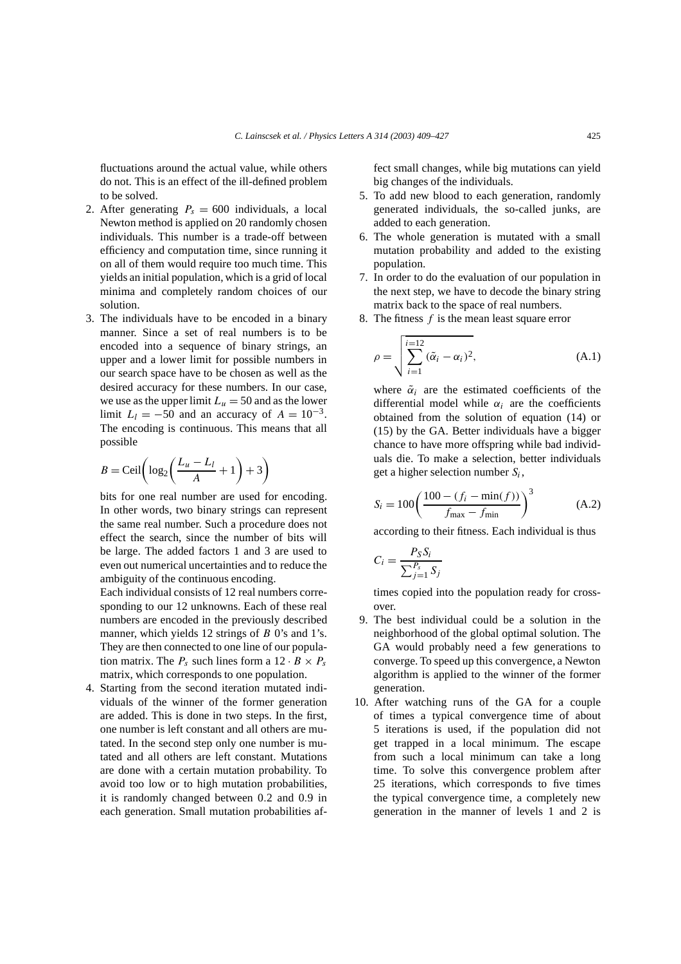fluctuations around the actual value, while others do not. This is an effect of the ill-defined problem to be solved.

- 2. After generating  $P_s = 600$  individuals, a local Newton method is applied on 20 randomly chosen individuals. This number is a trade-off between efficiency and computation time, since running it on all of them would require too much time. This yields an initial population, which is a grid of local minima and completely random choices of our solution.
- 3. The individuals have to be encoded in a binary manner. Since a set of real numbers is to be encoded into a sequence of binary strings, an upper and a lower limit for possible numbers in our search space have to be chosen as well as the desired accuracy for these numbers. In our case, we use as the upper limit  $L_u = 50$  and as the lower limit  $L_l = -50$  and an accuracy of  $A = 10^{-3}$ . The encoding is continuous. This means that all possible

$$
B = \operatorname{Ceil}\left(\log_2\left(\frac{L_u - L_l}{A} + 1\right) + 3\right)
$$

bits for one real number are used for encoding. In other words, two binary strings can represent the same real number. Such a procedure does not effect the search, since the number of bits will be large. The added factors 1 and 3 are used to even out numerical uncertainties and to reduce the ambiguity of the continuous encoding.

Each individual consists of 12 real numbers corresponding to our 12 unknowns. Each of these real numbers are encoded in the previously described manner, which yields 12 strings of *B* 0's and 1's. They are then connected to one line of our population matrix. The  $P_s$  such lines form a  $12 \cdot B \times P_s$ matrix, which corresponds to one population.

4. Starting from the second iteration mutated individuals of the winner of the former generation are added. This is done in two steps. In the first, one number is left constant and all others are mutated. In the second step only one number is mutated and all others are left constant. Mutations are done with a certain mutation probability. To avoid too low or to high mutation probabilities, it is randomly changed between 0*.*2 and 0*.*9 in each generation. Small mutation probabilities affect small changes, while big mutations can yield big changes of the individuals.

- 5. To add new blood to each generation, randomly generated individuals, the so-called junks, are added to each generation.
- 6. The whole generation is mutated with a small mutation probability and added to the existing population.
- 7. In order to do the evaluation of our population in the next step, we have to decode the binary string matrix back to the space of real numbers.
- 8. The fitness *f* is the mean least square error

$$
\rho = \sqrt{\sum_{i=1}^{i=12} (\tilde{\alpha}_i - \alpha_i)^2},\tag{A.1}
$$

where  $\tilde{\alpha}_i$  are the estimated coefficients of the differential model while  $\alpha_i$  are the coefficients obtained from the solution of equation (14) or (15) by the GA. Better individuals have a bigger chance to have more offspring while bad individuals die. To make a selection, better individuals get a higher selection number *Si*,

$$
S_i = 100 \left( \frac{100 - (f_i - \min(f))}{f_{\max} - f_{\min}} \right)^3
$$
 (A.2)

according to their fitness. Each individual is thus

$$
C_i = \frac{P_S S_i}{\sum_{j=1}^{P_s} S_j}
$$

times copied into the population ready for crossover.

- 9. The best individual could be a solution in the neighborhood of the global optimal solution. The GA would probably need a few generations to converge. To speed up this convergence, a Newton algorithm is applied to the winner of the former generation.
- 10. After watching runs of the GA for a couple of times a typical convergence time of about 5 iterations is used, if the population did not get trapped in a local minimum. The escape from such a local minimum can take a long time. To solve this convergence problem after 25 iterations, which corresponds to five times the typical convergence time, a completely new generation in the manner of levels 1 and 2 is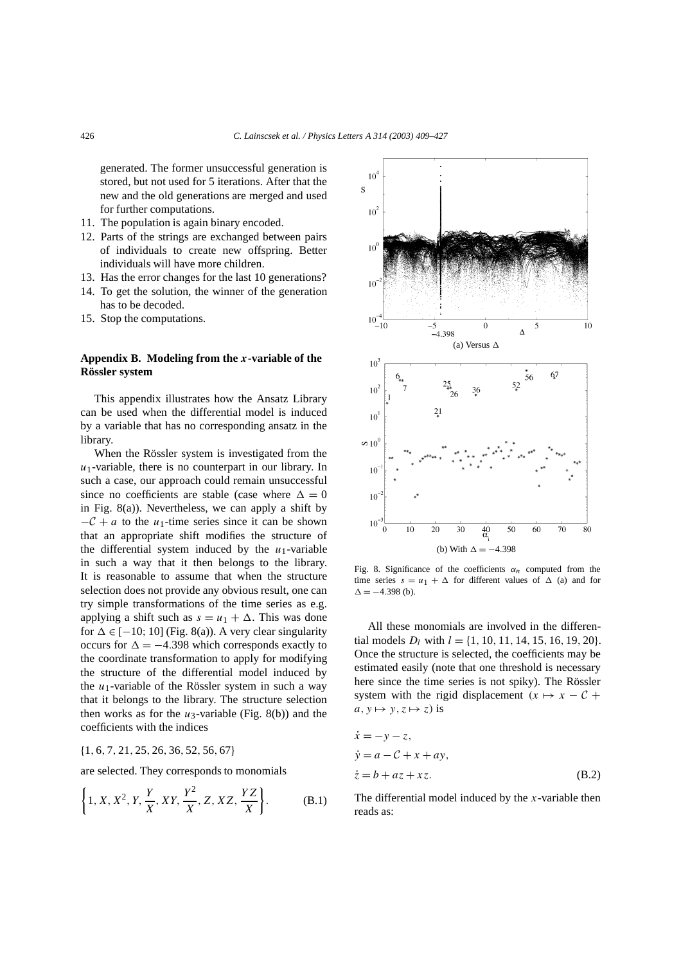generated. The former unsuccessful generation is stored, but not used for 5 iterations. After that the new and the old generations are merged and used for further computations.

- 11. The population is again binary encoded.
- 12. Parts of the strings are exchanged between pairs of individuals to create new offspring. Better individuals will have more children.
- 13. Has the error changes for the last 10 generations?
- 14. To get the solution, the winner of the generation has to be decoded.
- 15. Stop the computations.

# **Appendix B. Modeling from the** *x***-variable of the Rössler system**

This appendix illustrates how the Ansatz Library can be used when the differential model is induced by a variable that has no corresponding ansatz in the library.

When the Rössler system is investigated from the  $u_1$ -variable, there is no counterpart in our library. In such a case, our approach could remain unsuccessful since no coefficients are stable (case where  $\Delta = 0$ in Fig. 8(a)). Nevertheless, we can apply a shift by  $-C + a$  to the *u*<sub>1</sub>-time series since it can be shown that an appropriate shift modifies the structure of the differential system induced by the  $u_1$ -variable in such a way that it then belongs to the library. It is reasonable to assume that when the structure selection does not provide any obvious result, one can try simple transformations of the time series as e.g. applying a shift such as  $s = u_1 + \Delta$ . This was done for  $\Delta \in [-10; 10]$  (Fig. 8(a)). A very clear singularity occurs for  $\Delta = -4.398$  which corresponds exactly to the coordinate transformation to apply for modifying the structure of the differential model induced by the *u*1-variable of the Rössler system in such a way that it belongs to the library. The structure selection then works as for the  $u_3$ -variable (Fig. 8(b)) and the coefficients with the indices

{1*,* 6*,* 7*,* 21*,* 25*,* 26*,* 36*,* 52*,* 56*,* 67}

are selected. They corresponds to monomials

$$
\left\{1, X, X^2, Y, \frac{Y}{X}, XY, \frac{Y^2}{X}, Z, XZ, \frac{YZ}{X}\right\}.
$$
 (B.1)



Fig. 8. Significance of the coefficients  $\alpha_n$  computed from the time series  $s = u_1 + \Delta$  for different values of  $\Delta$  (a) and for  $\Delta = -4.398$  (b).

All these monomials are involved in the differential models  $D_l$  with  $l = \{1, 10, 11, 14, 15, 16, 19, 20\}.$ Once the structure is selected, the coefficients may be estimated easily (note that one threshold is necessary here since the time series is not spiky). The Rössler system with the rigid displacement  $(x \mapsto x - C +$  $a, y \mapsto y, z \mapsto z$ ) is

$$
\begin{aligned}\n\dot{x} &= -y - z, \\
\dot{y} &= a - C + x + ay, \\
\dot{z} &= b + az + xz.\n\end{aligned}
$$
(B.2)

The differential model induced by the *x*-variable then reads as: